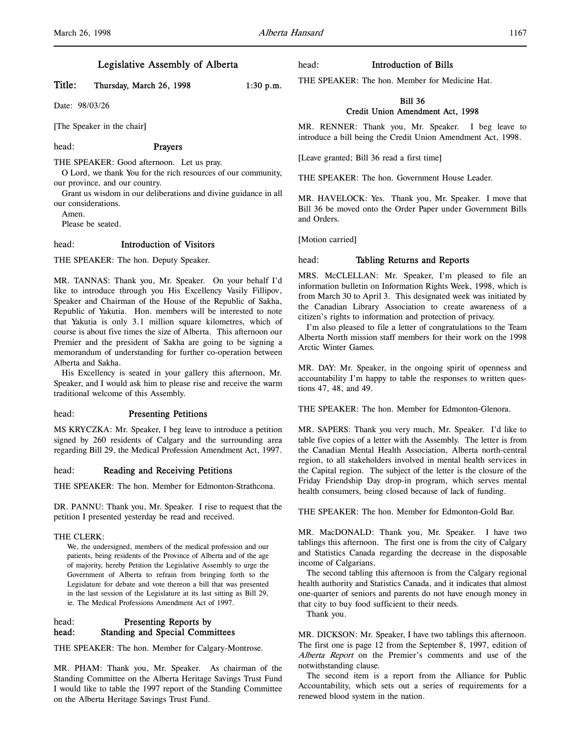# Legislative Assembly of Alberta

# Title: Thursday, March 26, 1998 1:30 p.m.

Date: 98/03/26

[The Speaker in the chair]

#### head: Prayers

THE SPEAKER: Good afternoon. Let us pray.

O Lord, we thank You for the rich resources of our community, our province, and our country.

Grant us wisdom in our deliberations and divine guidance in all our considerations.

Amen.

Please be seated.

# head: Introduction of Visitors

THE SPEAKER: The hon. Deputy Speaker.

MR. TANNAS: Thank you, Mr. Speaker. On your behalf I'd like to introduce through you His Excellency Vasily Fillipov, Speaker and Chairman of the House of the Republic of Sakha, Republic of Yakutia. Hon. members will be interested to note that Yakutia is only 3.1 million square kilometres, which of course is about five times the size of Alberta. This afternoon our Premier and the president of Sakha are going to be signing a memorandum of understanding for further co-operation between Alberta and Sakha.

His Excellency is seated in your gallery this afternoon, Mr. Speaker, and I would ask him to please rise and receive the warm traditional welcome of this Assembly.

### head: Presenting Petitions

MS KRYCZKA: Mr. Speaker, I beg leave to introduce a petition signed by 260 residents of Calgary and the surrounding area regarding Bill 29, the Medical Profession Amendment Act, 1997.

### head: Reading and Receiving Petitions

THE SPEAKER: The hon. Member for Edmonton-Strathcona.

DR. PANNU: Thank you, Mr. Speaker. I rise to request that the petition I presented yesterday be read and received.

#### THE CLERK:

We, the undersigned, members of the medical profession and our patients, being residents of the Province of Alberta and of the age of majority, hereby Petition the Legislative Assembly to urge the Government of Alberta to refrain from bringing forth to the Legislature for debate and vote thereon a bill that was presented in the last session of the Legislature at its last sitting as Bill 29, ie. The Medical Professions Amendment Act of 1997.

# head: Presenting Reports by head: Standing and Special Committees

THE SPEAKER: The hon. Member for Calgary-Montrose.

MR. PHAM: Thank you, Mr. Speaker. As chairman of the Standing Committee on the Alberta Heritage Savings Trust Fund I would like to table the 1997 report of the Standing Committee on the Alberta Heritage Savings Trust Fund.

head: Introduction of Bills

THE SPEAKER: The hon. Member for Medicine Hat.

### Bill 36 Credit Union Amendment Act, 1998

MR. RENNER: Thank you, Mr. Speaker. I beg leave to introduce a bill being the Credit Union Amendment Act, 1998.

[Leave granted; Bill 36 read a first time]

THE SPEAKER: The hon. Government House Leader.

MR. HAVELOCK: Yes. Thank you, Mr. Speaker. I move that Bill 36 be moved onto the Order Paper under Government Bills and Orders.

[Motion carried]

### head: Tabling Returns and Reports

MRS. McCLELLAN: Mr. Speaker, I'm pleased to file an information bulletin on Information Rights Week, 1998, which is from March 30 to April 3. This designated week was initiated by the Canadian Library Association to create awareness of a citizen's rights to information and protection of privacy.

I'm also pleased to file a letter of congratulations to the Team Alberta North mission staff members for their work on the 1998 Arctic Winter Games.

MR. DAY: Mr. Speaker, in the ongoing spirit of openness and accountability I'm happy to table the responses to written questions 47, 48, and 49.

THE SPEAKER: The hon. Member for Edmonton-Glenora.

MR. SAPERS: Thank you very much, Mr. Speaker. I'd like to table five copies of a letter with the Assembly. The letter is from the Canadian Mental Health Association, Alberta north-central region, to all stakeholders involved in mental health services in the Capital region. The subject of the letter is the closure of the Friday Friendship Day drop-in program, which serves mental health consumers, being closed because of lack of funding.

THE SPEAKER: The hon. Member for Edmonton-Gold Bar.

MR. MacDONALD: Thank you, Mr. Speaker. I have two tablings this afternoon. The first one is from the city of Calgary and Statistics Canada regarding the decrease in the disposable income of Calgarians.

The second tabling this afternoon is from the Calgary regional health authority and Statistics Canada, and it indicates that almost one-quarter of seniors and parents do not have enough money in that city to buy food sufficient to their needs.

Thank you.

MR. DICKSON: Mr. Speaker, I have two tablings this afternoon. The first one is page 12 from the September 8, 1997, edition of Alberta Report on the Premier's comments and use of the notwithstanding clause.

The second item is a report from the Alliance for Public Accountability, which sets out a series of requirements for a renewed blood system in the nation.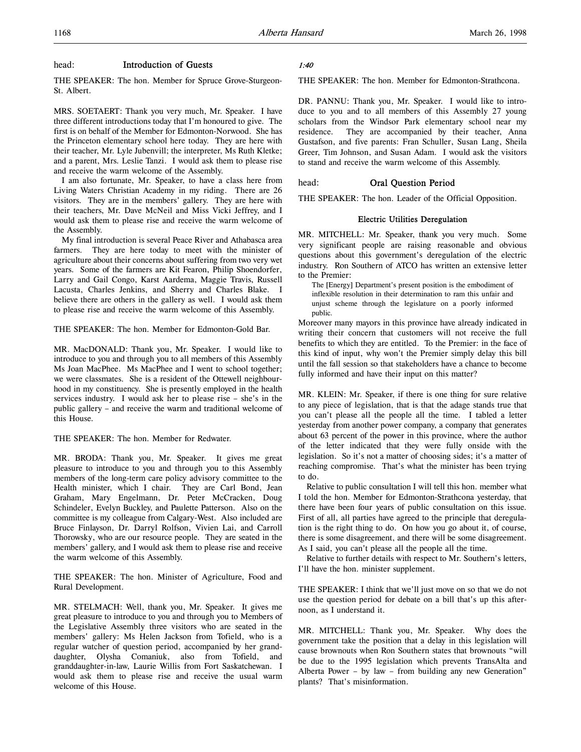# head: Introduction of Guests

THE SPEAKER: The hon. Member for Spruce Grove-Sturgeon-St. Albert.

MRS. SOETAERT: Thank you very much, Mr. Speaker. I have three different introductions today that I'm honoured to give. The first is on behalf of the Member for Edmonton-Norwood. She has the Princeton elementary school here today. They are here with their teacher, Mr. Lyle Jubenvill; the interpreter, Ms Ruth Kletke; and a parent, Mrs. Leslie Tanzi. I would ask them to please rise and receive the warm welcome of the Assembly.

I am also fortunate, Mr. Speaker, to have a class here from Living Waters Christian Academy in my riding. There are 26 visitors. They are in the members' gallery. They are here with their teachers, Mr. Dave McNeil and Miss Vicki Jeffrey, and I would ask them to please rise and receive the warm welcome of the Assembly.

My final introduction is several Peace River and Athabasca area farmers. They are here today to meet with the minister of agriculture about their concerns about suffering from two very wet years. Some of the farmers are Kit Fearon, Philip Shoendorfer, Larry and Gail Congo, Karst Aardema, Maggie Travis, Russell Lacusta, Charles Jenkins, and Sherry and Charles Blake. I believe there are others in the gallery as well. I would ask them to please rise and receive the warm welcome of this Assembly.

THE SPEAKER: The hon. Member for Edmonton-Gold Bar.

MR. MacDONALD: Thank you, Mr. Speaker. I would like to introduce to you and through you to all members of this Assembly Ms Joan MacPhee. Ms MacPhee and I went to school together; we were classmates. She is a resident of the Ottewell neighbourhood in my constituency. She is presently employed in the health services industry. I would ask her to please rise – she's in the public gallery – and receive the warm and traditional welcome of this House.

THE SPEAKER: The hon. Member for Redwater.

MR. BRODA: Thank you, Mr. Speaker. It gives me great pleasure to introduce to you and through you to this Assembly members of the long-term care policy advisory committee to the Health minister, which I chair. They are Carl Bond, Jean Graham, Mary Engelmann, Dr. Peter McCracken, Doug Schindeler, Evelyn Buckley, and Paulette Patterson. Also on the committee is my colleague from Calgary-West. Also included are Bruce Finlayson, Dr. Darryl Rolfson, Vivien Lai, and Carroll Thorowsky, who are our resource people. They are seated in the members' gallery, and I would ask them to please rise and receive the warm welcome of this Assembly.

THE SPEAKER: The hon. Minister of Agriculture, Food and Rural Development.

MR. STELMACH: Well, thank you, Mr. Speaker. It gives me great pleasure to introduce to you and through you to Members of the Legislative Assembly three visitors who are seated in the members' gallery: Ms Helen Jackson from Tofield, who is a regular watcher of question period, accompanied by her granddaughter, Olysha Comaniuk, also from Tofield, and granddaughter-in-law, Laurie Willis from Fort Saskatchewan. I would ask them to please rise and receive the usual warm welcome of this House.

## 1:40

THE SPEAKER: The hon. Member for Edmonton-Strathcona.

DR. PANNU: Thank you, Mr. Speaker. I would like to introduce to you and to all members of this Assembly 27 young scholars from the Windsor Park elementary school near my residence. They are accompanied by their teacher, Anna Gustafson, and five parents: Fran Schuller, Susan Lang, Sheila Greer, Tim Johnson, and Susan Adam. I would ask the visitors to stand and receive the warm welcome of this Assembly.

# head: Oral Question Period

THE SPEAKER: The hon. Leader of the Official Opposition.

## Electric Utilities Deregulation

MR. MITCHELL: Mr. Speaker, thank you very much. Some very significant people are raising reasonable and obvious questions about this government's deregulation of the electric industry. Ron Southern of ATCO has written an extensive letter to the Premier:

The [Energy] Department's present position is the embodiment of inflexible resolution in their determination to ram this unfair and unjust scheme through the legislature on a poorly informed public.

Moreover many mayors in this province have already indicated in writing their concern that customers will not receive the full benefits to which they are entitled. To the Premier: in the face of this kind of input, why won't the Premier simply delay this bill until the fall session so that stakeholders have a chance to become fully informed and have their input on this matter?

MR. KLEIN: Mr. Speaker, if there is one thing for sure relative to any piece of legislation, that is that the adage stands true that you can't please all the people all the time. I tabled a letter yesterday from another power company, a company that generates about 63 percent of the power in this province, where the author of the letter indicated that they were fully onside with the legislation. So it's not a matter of choosing sides; it's a matter of reaching compromise. That's what the minister has been trying to do.

Relative to public consultation I will tell this hon. member what I told the hon. Member for Edmonton-Strathcona yesterday, that there have been four years of public consultation on this issue. First of all, all parties have agreed to the principle that deregulation is the right thing to do. On how you go about it, of course, there is some disagreement, and there will be some disagreement. As I said, you can't please all the people all the time.

Relative to further details with respect to Mr. Southern's letters, I'll have the hon. minister supplement.

THE SPEAKER: I think that we'll just move on so that we do not use the question period for debate on a bill that's up this afternoon, as I understand it.

MR. MITCHELL: Thank you, Mr. Speaker. Why does the government take the position that a delay in this legislation will cause brownouts when Ron Southern states that brownouts "will be due to the 1995 legislation which prevents TransAlta and Alberta Power – by law – from building any new Generation" plants? That's misinformation.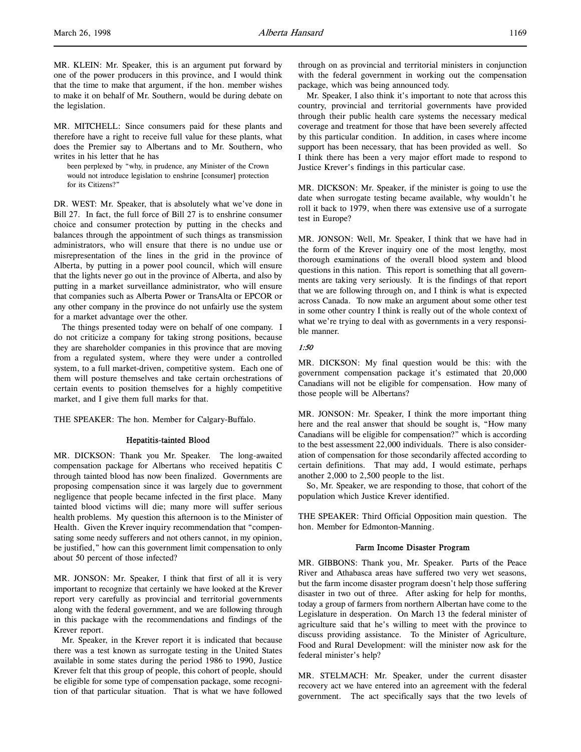MR. MITCHELL: Since consumers paid for these plants and therefore have a right to receive full value for these plants, what does the Premier say to Albertans and to Mr. Southern, who writes in his letter that he has

been perplexed by "why, in prudence, any Minister of the Crown would not introduce legislation to enshrine [consumer] protection for its Citizens?"

DR. WEST: Mr. Speaker, that is absolutely what we've done in Bill 27. In fact, the full force of Bill 27 is to enshrine consumer choice and consumer protection by putting in the checks and balances through the appointment of such things as transmission administrators, who will ensure that there is no undue use or misrepresentation of the lines in the grid in the province of Alberta, by putting in a power pool council, which will ensure that the lights never go out in the province of Alberta, and also by putting in a market surveillance administrator, who will ensure that companies such as Alberta Power or TransAlta or EPCOR or any other company in the province do not unfairly use the system for a market advantage over the other.

The things presented today were on behalf of one company. I do not criticize a company for taking strong positions, because they are shareholder companies in this province that are moving from a regulated system, where they were under a controlled system, to a full market-driven, competitive system. Each one of them will posture themselves and take certain orchestrations of certain events to position themselves for a highly competitive market, and I give them full marks for that.

THE SPEAKER: The hon. Member for Calgary-Buffalo.

#### Hepatitis-tainted Blood

MR. DICKSON: Thank you Mr. Speaker. The long-awaited compensation package for Albertans who received hepatitis C through tainted blood has now been finalized. Governments are proposing compensation since it was largely due to government negligence that people became infected in the first place. Many tainted blood victims will die; many more will suffer serious health problems. My question this afternoon is to the Minister of Health. Given the Krever inquiry recommendation that "compensating some needy sufferers and not others cannot, in my opinion, be justified," how can this government limit compensation to only about 50 percent of those infected?

MR. JONSON: Mr. Speaker, I think that first of all it is very important to recognize that certainly we have looked at the Krever report very carefully as provincial and territorial governments along with the federal government, and we are following through in this package with the recommendations and findings of the Krever report.

Mr. Speaker, in the Krever report it is indicated that because there was a test known as surrogate testing in the United States available in some states during the period 1986 to 1990, Justice Krever felt that this group of people, this cohort of people, should be eligible for some type of compensation package, some recognition of that particular situation. That is what we have followed

through on as provincial and territorial ministers in conjunction with the federal government in working out the compensation package, which was being announced tody.

Mr. Speaker, I also think it's important to note that across this country, provincial and territorial governments have provided through their public health care systems the necessary medical coverage and treatment for those that have been severely affected by this particular condition. In addition, in cases where income support has been necessary, that has been provided as well. So I think there has been a very major effort made to respond to Justice Krever's findings in this particular case.

MR. DICKSON: Mr. Speaker, if the minister is going to use the date when surrogate testing became available, why wouldn't he roll it back to 1979, when there was extensive use of a surrogate test in Europe?

MR. JONSON: Well, Mr. Speaker, I think that we have had in the form of the Krever inquiry one of the most lengthy, most thorough examinations of the overall blood system and blood questions in this nation. This report is something that all governments are taking very seriously. It is the findings of that report that we are following through on, and I think is what is expected across Canada. To now make an argument about some other test in some other country I think is really out of the whole context of what we're trying to deal with as governments in a very responsible manner.

### 1:50

MR. DICKSON: My final question would be this: with the government compensation package it's estimated that 20,000 Canadians will not be eligible for compensation. How many of those people will be Albertans?

MR. JONSON: Mr. Speaker, I think the more important thing here and the real answer that should be sought is, "How many Canadians will be eligible for compensation?" which is according to the best assessment 22,000 individuals. There is also consideration of compensation for those secondarily affected according to certain definitions. That may add, I would estimate, perhaps another 2,000 to 2,500 people to the list.

So, Mr. Speaker, we are responding to those, that cohort of the population which Justice Krever identified.

THE SPEAKER: Third Official Opposition main question. The hon. Member for Edmonton-Manning.

### Farm Income Disaster Program

MR. GIBBONS: Thank you, Mr. Speaker. Parts of the Peace River and Athabasca areas have suffered two very wet seasons, but the farm income disaster program doesn't help those suffering disaster in two out of three. After asking for help for months, today a group of farmers from northern Albertan have come to the Legislature in desperation. On March 13 the federal minister of agriculture said that he's willing to meet with the province to discuss providing assistance. To the Minister of Agriculture, Food and Rural Development: will the minister now ask for the federal minister's help?

MR. STELMACH: Mr. Speaker, under the current disaster recovery act we have entered into an agreement with the federal government. The act specifically says that the two levels of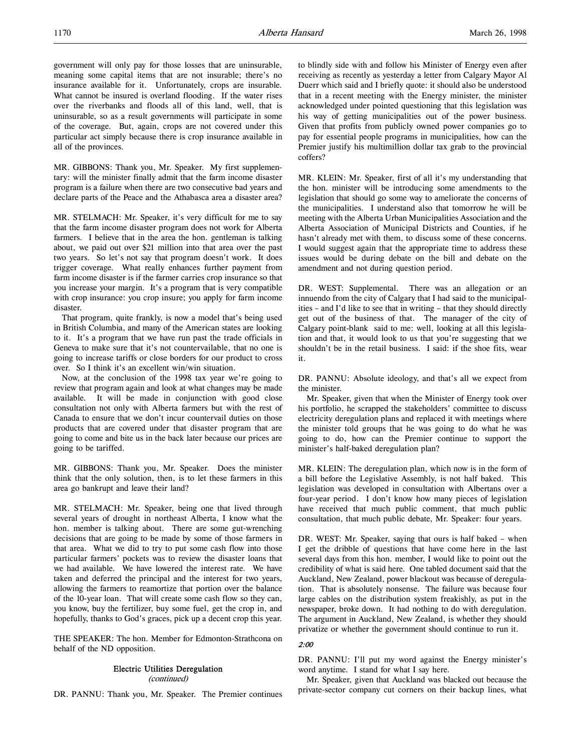government will only pay for those losses that are uninsurable, meaning some capital items that are not insurable; there's no insurance available for it. Unfortunately, crops are insurable. What cannot be insured is overland flooding. If the water rises over the riverbanks and floods all of this land, well, that is uninsurable, so as a result governments will participate in some of the coverage. But, again, crops are not covered under this particular act simply because there is crop insurance available in all of the provinces.

MR. GIBBONS: Thank you, Mr. Speaker. My first supplementary: will the minister finally admit that the farm income disaster program is a failure when there are two consecutive bad years and declare parts of the Peace and the Athabasca area a disaster area?

MR. STELMACH: Mr. Speaker, it's very difficult for me to say that the farm income disaster program does not work for Alberta farmers. I believe that in the area the hon. gentleman is talking about, we paid out over \$21 million into that area over the past two years. So let's not say that program doesn't work. It does trigger coverage. What really enhances further payment from farm income disaster is if the farmer carries crop insurance so that you increase your margin. It's a program that is very compatible with crop insurance: you crop insure; you apply for farm income disaster.

That program, quite frankly, is now a model that's being used in British Columbia, and many of the American states are looking to it. It's a program that we have run past the trade officials in Geneva to make sure that it's not countervailable, that no one is going to increase tariffs or close borders for our product to cross over. So I think it's an excellent win/win situation.

Now, at the conclusion of the 1998 tax year we're going to review that program again and look at what changes may be made available. It will be made in conjunction with good close consultation not only with Alberta farmers but with the rest of Canada to ensure that we don't incur countervail duties on those products that are covered under that disaster program that are going to come and bite us in the back later because our prices are going to be tariffed.

MR. GIBBONS: Thank you, Mr. Speaker. Does the minister think that the only solution, then, is to let these farmers in this area go bankrupt and leave their land?

MR. STELMACH: Mr. Speaker, being one that lived through several years of drought in northeast Alberta, I know what the hon. member is talking about. There are some gut-wrenching decisions that are going to be made by some of those farmers in that area. What we did to try to put some cash flow into those particular farmers' pockets was to review the disaster loans that we had available. We have lowered the interest rate. We have taken and deferred the principal and the interest for two years, allowing the farmers to reamortize that portion over the balance of the 10-year loan. That will create some cash flow so they can, you know, buy the fertilizer, buy some fuel, get the crop in, and hopefully, thanks to God's graces, pick up a decent crop this year.

THE SPEAKER: The hon. Member for Edmonton-Strathcona on behalf of the ND opposition.

# Electric Utilities Deregulation

(continued)

DR. PANNU: Thank you, Mr. Speaker. The Premier continues

to blindly side with and follow his Minister of Energy even after receiving as recently as yesterday a letter from Calgary Mayor Al Duerr which said and I briefly quote: it should also be understood that in a recent meeting with the Energy minister, the minister acknowledged under pointed questioning that this legislation was his way of getting municipalities out of the power business. Given that profits from publicly owned power companies go to pay for essential people programs in municipalities, how can the Premier justify his multimillion dollar tax grab to the provincial coffers?

MR. KLEIN: Mr. Speaker, first of all it's my understanding that the hon. minister will be introducing some amendments to the legislation that should go some way to ameliorate the concerns of the municipalities. I understand also that tomorrow he will be meeting with the Alberta Urban Municipalities Association and the Alberta Association of Municipal Districts and Counties, if he hasn't already met with them, to discuss some of these concerns. I would suggest again that the appropriate time to address these issues would be during debate on the bill and debate on the amendment and not during question period.

DR. WEST: Supplemental. There was an allegation or an innuendo from the city of Calgary that I had said to the municipalities – and I'd like to see that in writing – that they should directly get out of the business of that. The manager of the city of Calgary point-blank said to me: well, looking at all this legislation and that, it would look to us that you're suggesting that we shouldn't be in the retail business. I said: if the shoe fits, wear it.

DR. PANNU: Absolute ideology, and that's all we expect from the minister.

Mr. Speaker, given that when the Minister of Energy took over his portfolio, he scrapped the stakeholders' committee to discuss electricity deregulation plans and replaced it with meetings where the minister told groups that he was going to do what he was going to do, how can the Premier continue to support the minister's half-baked deregulation plan?

MR. KLEIN: The deregulation plan, which now is in the form of a bill before the Legislative Assembly, is not half baked. This legislation was developed in consultation with Albertans over a four-year period. I don't know how many pieces of legislation have received that much public comment, that much public consultation, that much public debate, Mr. Speaker: four years.

DR. WEST: Mr. Speaker, saying that ours is half baked – when I get the dribble of questions that have come here in the last several days from this hon. member, I would like to point out the credibility of what is said here. One tabled document said that the Auckland, New Zealand, power blackout was because of deregulation. That is absolutely nonsense. The failure was because four large cables on the distribution system freakishly, as put in the newspaper, broke down. It had nothing to do with deregulation. The argument in Auckland, New Zealand, is whether they should privatize or whether the government should continue to run it.

## 2:00

DR. PANNU: I'll put my word against the Energy minister's word anytime. I stand for what I say here.

Mr. Speaker, given that Auckland was blacked out because the private-sector company cut corners on their backup lines, what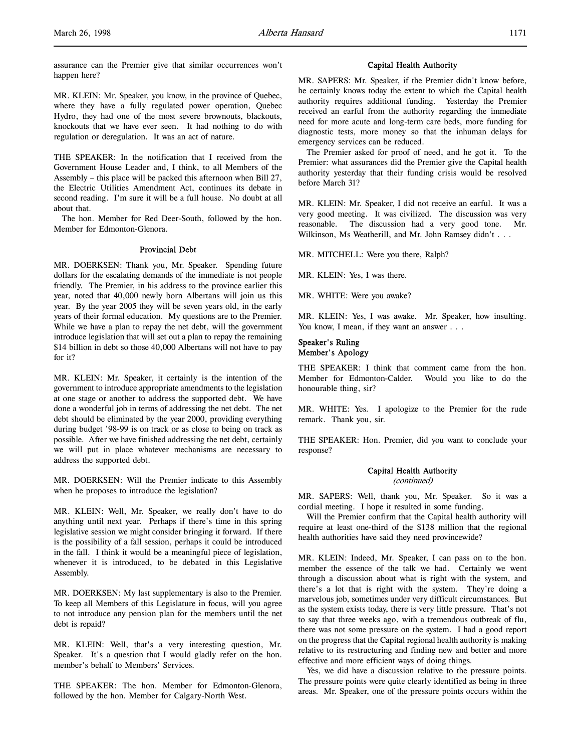assurance can the Premier give that similar occurrences won't happen here?

MR. KLEIN: Mr. Speaker, you know, in the province of Quebec, where they have a fully regulated power operation, Quebec Hydro, they had one of the most severe brownouts, blackouts, knockouts that we have ever seen. It had nothing to do with regulation or deregulation. It was an act of nature.

THE SPEAKER: In the notification that I received from the Government House Leader and, I think, to all Members of the Assembly – this place will be packed this afternoon when Bill 27, the Electric Utilities Amendment Act, continues its debate in second reading. I'm sure it will be a full house. No doubt at all about that.

The hon. Member for Red Deer-South, followed by the hon. Member for Edmonton-Glenora.

### Provincial Debt

MR. DOERKSEN: Thank you, Mr. Speaker. Spending future dollars for the escalating demands of the immediate is not people friendly. The Premier, in his address to the province earlier this year, noted that 40,000 newly born Albertans will join us this year. By the year 2005 they will be seven years old, in the early years of their formal education. My questions are to the Premier. While we have a plan to repay the net debt, will the government introduce legislation that will set out a plan to repay the remaining \$14 billion in debt so those 40,000 Albertans will not have to pay for it?

MR. KLEIN: Mr. Speaker, it certainly is the intention of the government to introduce appropriate amendments to the legislation at one stage or another to address the supported debt. We have done a wonderful job in terms of addressing the net debt. The net debt should be eliminated by the year 2000, providing everything during budget '98-99 is on track or as close to being on track as possible. After we have finished addressing the net debt, certainly we will put in place whatever mechanisms are necessary to address the supported debt.

MR. DOERKSEN: Will the Premier indicate to this Assembly when he proposes to introduce the legislation?

MR. KLEIN: Well, Mr. Speaker, we really don't have to do anything until next year. Perhaps if there's time in this spring legislative session we might consider bringing it forward. If there is the possibility of a fall session, perhaps it could be introduced in the fall. I think it would be a meaningful piece of legislation, whenever it is introduced, to be debated in this Legislative Assembly.

MR. DOERKSEN: My last supplementary is also to the Premier. To keep all Members of this Legislature in focus, will you agree to not introduce any pension plan for the members until the net debt is repaid?

MR. KLEIN: Well, that's a very interesting question, Mr. Speaker. It's a question that I would gladly refer on the hon. member's behalf to Members' Services.

THE SPEAKER: The hon. Member for Edmonton-Glenora, followed by the hon. Member for Calgary-North West.

### Capital Health Authority

MR. SAPERS: Mr. Speaker, if the Premier didn't know before, he certainly knows today the extent to which the Capital health authority requires additional funding. Yesterday the Premier received an earful from the authority regarding the immediate need for more acute and long-term care beds, more funding for diagnostic tests, more money so that the inhuman delays for emergency services can be reduced.

The Premier asked for proof of need, and he got it. To the Premier: what assurances did the Premier give the Capital health authority yesterday that their funding crisis would be resolved before March 31?

MR. KLEIN: Mr. Speaker, I did not receive an earful. It was a very good meeting. It was civilized. The discussion was very reasonable. The discussion had a very good tone. Mr. Wilkinson, Ms Weatherill, and Mr. John Ramsey didn't . . .

MR. MITCHELL: Were you there, Ralph?

MR. KLEIN: Yes, I was there.

MR. WHITE: Were you awake?

MR. KLEIN: Yes, I was awake. Mr. Speaker, how insulting. You know, I mean, if they want an answer . . .

## Speaker's Ruling Member's Apology

THE SPEAKER: I think that comment came from the hon. Member for Edmonton-Calder. Would you like to do the honourable thing, sir?

MR. WHITE: Yes. I apologize to the Premier for the rude remark. Thank you, sir.

THE SPEAKER: Hon. Premier, did you want to conclude your response?

### Capital Health Authority (continued)

MR. SAPERS: Well, thank you, Mr. Speaker. So it was a cordial meeting. I hope it resulted in some funding.

Will the Premier confirm that the Capital health authority will require at least one-third of the \$138 million that the regional health authorities have said they need provincewide?

MR. KLEIN: Indeed, Mr. Speaker, I can pass on to the hon. member the essence of the talk we had. Certainly we went through a discussion about what is right with the system, and there's a lot that is right with the system. They're doing a marvelous job, sometimes under very difficult circumstances. But as the system exists today, there is very little pressure. That's not to say that three weeks ago, with a tremendous outbreak of flu, there was not some pressure on the system. I had a good report on the progress that the Capital regional health authority is making relative to its restructuring and finding new and better and more effective and more efficient ways of doing things.

Yes, we did have a discussion relative to the pressure points. The pressure points were quite clearly identified as being in three areas. Mr. Speaker, one of the pressure points occurs within the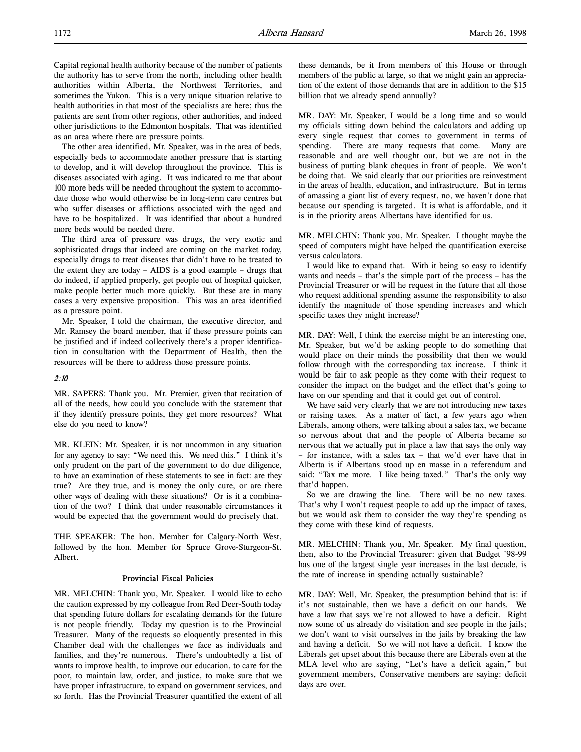The other area identified, Mr. Speaker, was in the area of beds, especially beds to accommodate another pressure that is starting to develop, and it will develop throughout the province. This is diseases associated with aging. It was indicated to me that about 100 more beds will be needed throughout the system to accommodate those who would otherwise be in long-term care centres but who suffer diseases or afflictions associated with the aged and have to be hospitalized. It was identified that about a hundred more beds would be needed there.

The third area of pressure was drugs, the very exotic and sophisticated drugs that indeed are coming on the market today, especially drugs to treat diseases that didn't have to be treated to the extent they are today – AIDS is a good example – drugs that do indeed, if applied properly, get people out of hospital quicker, make people better much more quickly. But these are in many cases a very expensive proposition. This was an area identified as a pressure point.

Mr. Speaker, I told the chairman, the executive director, and Mr. Ramsey the board member, that if these pressure points can be justified and if indeed collectively there's a proper identification in consultation with the Department of Health, then the resources will be there to address those pressure points.

#### 2:10

MR. SAPERS: Thank you. Mr. Premier, given that recitation of all of the needs, how could you conclude with the statement that if they identify pressure points, they get more resources? What else do you need to know?

MR. KLEIN: Mr. Speaker, it is not uncommon in any situation for any agency to say: "We need this. We need this." I think it's only prudent on the part of the government to do due diligence, to have an examination of these statements to see in fact: are they true? Are they true, and is money the only cure, or are there other ways of dealing with these situations? Or is it a combination of the two? I think that under reasonable circumstances it would be expected that the government would do precisely that.

THE SPEAKER: The hon. Member for Calgary-North West, followed by the hon. Member for Spruce Grove-Sturgeon-St. Albert.

### Provincial Fiscal Policies

MR. MELCHIN: Thank you, Mr. Speaker. I would like to echo the caution expressed by my colleague from Red Deer-South today that spending future dollars for escalating demands for the future is not people friendly. Today my question is to the Provincial Treasurer. Many of the requests so eloquently presented in this Chamber deal with the challenges we face as individuals and families, and they're numerous. There's undoubtedly a list of wants to improve health, to improve our education, to care for the poor, to maintain law, order, and justice, to make sure that we have proper infrastructure, to expand on government services, and so forth. Has the Provincial Treasurer quantified the extent of all

these demands, be it from members of this House or through members of the public at large, so that we might gain an appreciation of the extent of those demands that are in addition to the \$15 billion that we already spend annually?

MR. DAY: Mr. Speaker, I would be a long time and so would my officials sitting down behind the calculators and adding up every single request that comes to government in terms of spending. There are many requests that come. Many are reasonable and are well thought out, but we are not in the business of putting blank cheques in front of people. We won't be doing that. We said clearly that our priorities are reinvestment in the areas of health, education, and infrastructure. But in terms of amassing a giant list of every request, no, we haven't done that because our spending is targeted. It is what is affordable, and it is in the priority areas Albertans have identified for us.

MR. MELCHIN: Thank you, Mr. Speaker. I thought maybe the speed of computers might have helped the quantification exercise versus calculators.

I would like to expand that. With it being so easy to identify wants and needs – that's the simple part of the process – has the Provincial Treasurer or will he request in the future that all those who request additional spending assume the responsibility to also identify the magnitude of those spending increases and which specific taxes they might increase?

MR. DAY: Well, I think the exercise might be an interesting one, Mr. Speaker, but we'd be asking people to do something that would place on their minds the possibility that then we would follow through with the corresponding tax increase. I think it would be fair to ask people as they come with their request to consider the impact on the budget and the effect that's going to have on our spending and that it could get out of control.

We have said very clearly that we are not introducing new taxes or raising taxes. As a matter of fact, a few years ago when Liberals, among others, were talking about a sales tax, we became so nervous about that and the people of Alberta became so nervous that we actually put in place a law that says the only way – for instance, with a sales tax – that we'd ever have that in Alberta is if Albertans stood up en masse in a referendum and said: "Tax me more. I like being taxed." That's the only way that'd happen.

So we are drawing the line. There will be no new taxes. That's why I won't request people to add up the impact of taxes, but we would ask them to consider the way they're spending as they come with these kind of requests.

MR. MELCHIN: Thank you, Mr. Speaker. My final question, then, also to the Provincial Treasurer: given that Budget '98-99 has one of the largest single year increases in the last decade, is the rate of increase in spending actually sustainable?

MR. DAY: Well, Mr. Speaker, the presumption behind that is: if it's not sustainable, then we have a deficit on our hands. We have a law that says we're not allowed to have a deficit. Right now some of us already do visitation and see people in the jails; we don't want to visit ourselves in the jails by breaking the law and having a deficit. So we will not have a deficit. I know the Liberals get upset about this because there are Liberals even at the MLA level who are saying, "Let's have a deficit again," but government members, Conservative members are saying: deficit days are over.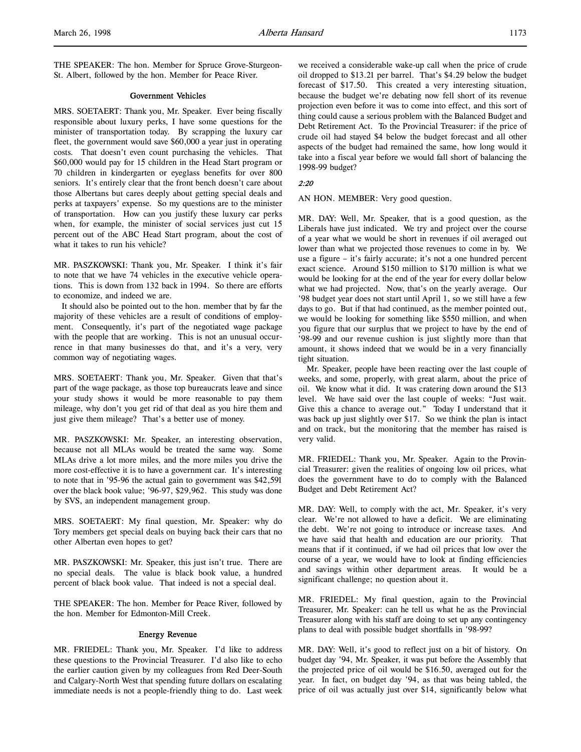THE SPEAKER: The hon. Member for Spruce Grove-Sturgeon-St. Albert, followed by the hon. Member for Peace River.

### Government Vehicles

MRS. SOETAERT: Thank you, Mr. Speaker. Ever being fiscally responsible about luxury perks, I have some questions for the minister of transportation today. By scrapping the luxury car fleet, the government would save \$60,000 a year just in operating costs. That doesn't even count purchasing the vehicles. That \$60,000 would pay for 15 children in the Head Start program or 70 children in kindergarten or eyeglass benefits for over 800 seniors. It's entirely clear that the front bench doesn't care about those Albertans but cares deeply about getting special deals and perks at taxpayers' expense. So my questions are to the minister of transportation. How can you justify these luxury car perks when, for example, the minister of social services just cut 15 percent out of the ABC Head Start program, about the cost of what it takes to run his vehicle?

MR. PASZKOWSKI: Thank you, Mr. Speaker. I think it's fair to note that we have 74 vehicles in the executive vehicle operations. This is down from 132 back in 1994. So there are efforts to economize, and indeed we are.

It should also be pointed out to the hon. member that by far the majority of these vehicles are a result of conditions of employment. Consequently, it's part of the negotiated wage package with the people that are working. This is not an unusual occurrence in that many businesses do that, and it's a very, very common way of negotiating wages.

MRS. SOETAERT: Thank you, Mr. Speaker. Given that that's part of the wage package, as those top bureaucrats leave and since your study shows it would be more reasonable to pay them mileage, why don't you get rid of that deal as you hire them and just give them mileage? That's a better use of money.

MR. PASZKOWSKI: Mr. Speaker, an interesting observation, because not all MLAs would be treated the same way. Some MLAs drive a lot more miles, and the more miles you drive the more cost-effective it is to have a government car. It's interesting to note that in '95-96 the actual gain to government was \$42,591 over the black book value; '96-97, \$29,962. This study was done by SVS, an independent management group.

MRS. SOETAERT: My final question, Mr. Speaker: why do Tory members get special deals on buying back their cars that no other Albertan even hopes to get?

MR. PASZKOWSKI: Mr. Speaker, this just isn't true. There are no special deals. The value is black book value, a hundred percent of black book value. That indeed is not a special deal.

THE SPEAKER: The hon. Member for Peace River, followed by the hon. Member for Edmonton-Mill Creek.

#### Energy Revenue

MR. FRIEDEL: Thank you, Mr. Speaker. I'd like to address these questions to the Provincial Treasurer. I'd also like to echo the earlier caution given by my colleagues from Red Deer-South and Calgary-North West that spending future dollars on escalating immediate needs is not a people-friendly thing to do. Last week

we received a considerable wake-up call when the price of crude oil dropped to \$13.21 per barrel. That's \$4.29 below the budget forecast of \$17.50. This created a very interesting situation, because the budget we're debating now fell short of its revenue projection even before it was to come into effect, and this sort of thing could cause a serious problem with the Balanced Budget and Debt Retirement Act. To the Provincial Treasurer: if the price of crude oil had stayed \$4 below the budget forecast and all other aspects of the budget had remained the same, how long would it take into a fiscal year before we would fall short of balancing the 1998-99 budget?

## 2:20

AN HON. MEMBER: Very good question.

MR. DAY: Well, Mr. Speaker, that is a good question, as the Liberals have just indicated. We try and project over the course of a year what we would be short in revenues if oil averaged out lower than what we projected those revenues to come in by. We use a figure – it's fairly accurate; it's not a one hundred percent exact science. Around \$150 million to \$170 million is what we would be looking for at the end of the year for every dollar below what we had projected. Now, that's on the yearly average. Our '98 budget year does not start until April 1, so we still have a few days to go. But if that had continued, as the member pointed out, we would be looking for something like \$550 million, and when you figure that our surplus that we project to have by the end of '98-99 and our revenue cushion is just slightly more than that amount, it shows indeed that we would be in a very financially tight situation.

Mr. Speaker, people have been reacting over the last couple of weeks, and some, properly, with great alarm, about the price of oil. We know what it did. It was cratering down around the \$13 level. We have said over the last couple of weeks: "Just wait. Give this a chance to average out." Today I understand that it was back up just slightly over \$17. So we think the plan is intact and on track, but the monitoring that the member has raised is very valid.

MR. FRIEDEL: Thank you, Mr. Speaker. Again to the Provincial Treasurer: given the realities of ongoing low oil prices, what does the government have to do to comply with the Balanced Budget and Debt Retirement Act?

MR. DAY: Well, to comply with the act, Mr. Speaker, it's very clear. We're not allowed to have a deficit. We are eliminating the debt. We're not going to introduce or increase taxes. And we have said that health and education are our priority. That means that if it continued, if we had oil prices that low over the course of a year, we would have to look at finding efficiencies and savings within other department areas. It would be a significant challenge; no question about it.

MR. FRIEDEL: My final question, again to the Provincial Treasurer, Mr. Speaker: can he tell us what he as the Provincial Treasurer along with his staff are doing to set up any contingency plans to deal with possible budget shortfalls in '98-99?

MR. DAY: Well, it's good to reflect just on a bit of history. On budget day '94, Mr. Speaker, it was put before the Assembly that the projected price of oil would be \$16.50, averaged out for the year. In fact, on budget day '94, as that was being tabled, the price of oil was actually just over \$14, significantly below what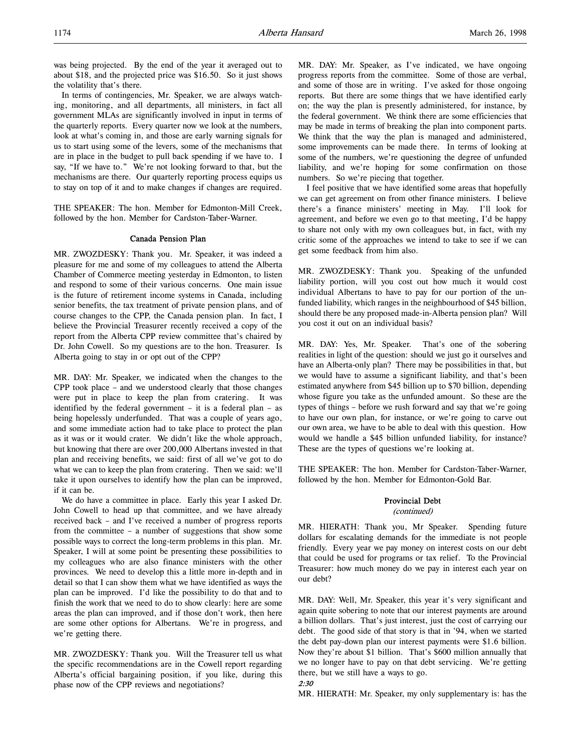was being projected. By the end of the year it averaged out to about \$18, and the projected price was \$16.50. So it just shows the volatility that's there.

In terms of contingencies, Mr. Speaker, we are always watching, monitoring, and all departments, all ministers, in fact all government MLAs are significantly involved in input in terms of the quarterly reports. Every quarter now we look at the numbers, look at what's coming in, and those are early warning signals for us to start using some of the levers, some of the mechanisms that are in place in the budget to pull back spending if we have to. I say, "If we have to." We're not looking forward to that, but the mechanisms are there. Our quarterly reporting process equips us to stay on top of it and to make changes if changes are required.

THE SPEAKER: The hon. Member for Edmonton-Mill Creek, followed by the hon. Member for Cardston-Taber-Warner.

### Canada Pension Plan

MR. ZWOZDESKY: Thank you. Mr. Speaker, it was indeed a pleasure for me and some of my colleagues to attend the Alberta Chamber of Commerce meeting yesterday in Edmonton, to listen and respond to some of their various concerns. One main issue is the future of retirement income systems in Canada, including senior benefits, the tax treatment of private pension plans, and of course changes to the CPP, the Canada pension plan. In fact, I believe the Provincial Treasurer recently received a copy of the report from the Alberta CPP review committee that's chaired by Dr. John Cowell. So my questions are to the hon. Treasurer. Is Alberta going to stay in or opt out of the CPP?

MR. DAY: Mr. Speaker, we indicated when the changes to the CPP took place – and we understood clearly that those changes were put in place to keep the plan from cratering. It was identified by the federal government – it is a federal plan – as being hopelessly underfunded. That was a couple of years ago, and some immediate action had to take place to protect the plan as it was or it would crater. We didn't like the whole approach, but knowing that there are over 200,000 Albertans invested in that plan and receiving benefits, we said: first of all we've got to do what we can to keep the plan from cratering. Then we said: we'll take it upon ourselves to identify how the plan can be improved, if it can be.

We do have a committee in place. Early this year I asked Dr. John Cowell to head up that committee, and we have already received back – and I've received a number of progress reports from the committee – a number of suggestions that show some possible ways to correct the long-term problems in this plan. Mr. Speaker, I will at some point be presenting these possibilities to my colleagues who are also finance ministers with the other provinces. We need to develop this a little more in-depth and in detail so that I can show them what we have identified as ways the plan can be improved. I'd like the possibility to do that and to finish the work that we need to do to show clearly: here are some areas the plan can improved, and if those don't work, then here are some other options for Albertans. We're in progress, and we're getting there.

MR. ZWOZDESKY: Thank you. Will the Treasurer tell us what the specific recommendations are in the Cowell report regarding Alberta's official bargaining position, if you like, during this phase now of the CPP reviews and negotiations?

MR. DAY: Mr. Speaker, as I've indicated, we have ongoing progress reports from the committee. Some of those are verbal, and some of those are in writing. I've asked for those ongoing reports. But there are some things that we have identified early on; the way the plan is presently administered, for instance, by the federal government. We think there are some efficiencies that may be made in terms of breaking the plan into component parts. We think that the way the plan is managed and administered, some improvements can be made there. In terms of looking at some of the numbers, we're questioning the degree of unfunded liability, and we're hoping for some confirmation on those numbers. So we're piecing that together.

I feel positive that we have identified some areas that hopefully we can get agreement on from other finance ministers. I believe there's a finance ministers' meeting in May. I'll look for agreement, and before we even go to that meeting, I'd be happy to share not only with my own colleagues but, in fact, with my critic some of the approaches we intend to take to see if we can get some feedback from him also.

MR. ZWOZDESKY: Thank you. Speaking of the unfunded liability portion, will you cost out how much it would cost individual Albertans to have to pay for our portion of the unfunded liability, which ranges in the neighbourhood of \$45 billion, should there be any proposed made-in-Alberta pension plan? Will you cost it out on an individual basis?

MR. DAY: Yes, Mr. Speaker. That's one of the sobering realities in light of the question: should we just go it ourselves and have an Alberta-only plan? There may be possibilities in that, but we would have to assume a significant liability, and that's been estimated anywhere from \$45 billion up to \$70 billion, depending whose figure you take as the unfunded amount. So these are the types of things – before we rush forward and say that we're going to have our own plan, for instance, or we're going to carve out our own area, we have to be able to deal with this question. How would we handle a \$45 billion unfunded liability, for instance? These are the types of questions we're looking at.

THE SPEAKER: The hon. Member for Cardston-Taber-Warner, followed by the hon. Member for Edmonton-Gold Bar.

# Provincial Debt

# (continued)

MR. HIERATH: Thank you, Mr Speaker. Spending future dollars for escalating demands for the immediate is not people friendly. Every year we pay money on interest costs on our debt that could be used for programs or tax relief. To the Provincial Treasurer: how much money do we pay in interest each year on our debt?

MR. DAY: Well, Mr. Speaker, this year it's very significant and again quite sobering to note that our interest payments are around a billion dollars. That's just interest, just the cost of carrying our debt. The good side of that story is that in '94, when we started the debt pay-down plan our interest payments were \$1.6 billion. Now they're about \$1 billion. That's \$600 million annually that we no longer have to pay on that debt servicing. We're getting there, but we still have a ways to go.

2:30

MR. HIERATH: Mr. Speaker, my only supplementary is: has the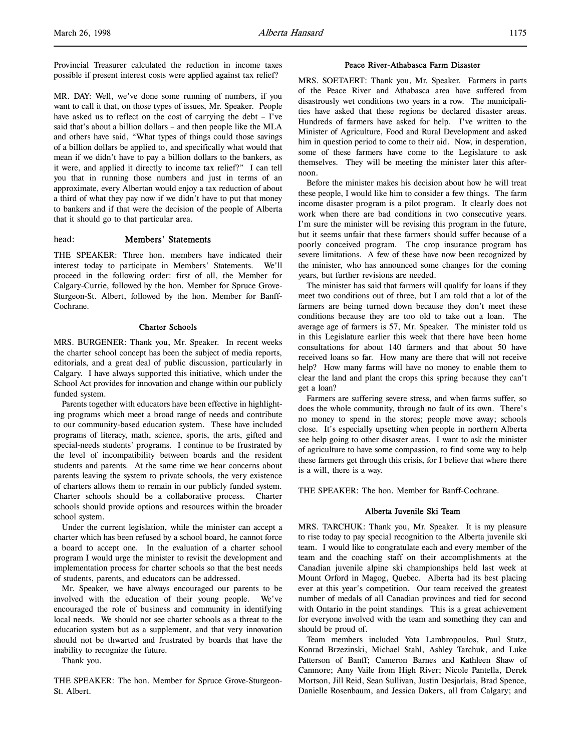Provincial Treasurer calculated the reduction in income taxes possible if present interest costs were applied against tax relief?

MR. DAY: Well, we've done some running of numbers, if you want to call it that, on those types of issues, Mr. Speaker. People have asked us to reflect on the cost of carrying the debt – I've said that's about a billion dollars – and then people like the MLA and others have said, "What types of things could those savings of a billion dollars be applied to, and specifically what would that mean if we didn't have to pay a billion dollars to the bankers, as it were, and applied it directly to income tax relief?" I can tell you that in running those numbers and just in terms of an approximate, every Albertan would enjoy a tax reduction of about a third of what they pay now if we didn't have to put that money to bankers and if that were the decision of the people of Alberta that it should go to that particular area.

### head: Members' Statements

THE SPEAKER: Three hon. members have indicated their interest today to participate in Members' Statements. We'll proceed in the following order: first of all, the Member for Calgary-Currie, followed by the hon. Member for Spruce Grove-Sturgeon-St. Albert, followed by the hon. Member for Banff-Cochrane.

### Charter Schools

MRS. BURGENER: Thank you, Mr. Speaker. In recent weeks the charter school concept has been the subject of media reports, editorials, and a great deal of public discussion, particularly in Calgary. I have always supported this initiative, which under the School Act provides for innovation and change within our publicly funded system.

Parents together with educators have been effective in highlighting programs which meet a broad range of needs and contribute to our community-based education system. These have included programs of literacy, math, science, sports, the arts, gifted and special-needs students' programs. I continue to be frustrated by the level of incompatibility between boards and the resident students and parents. At the same time we hear concerns about parents leaving the system to private schools, the very existence of charters allows them to remain in our publicly funded system. Charter schools should be a collaborative process. Charter schools should provide options and resources within the broader school system.

Under the current legislation, while the minister can accept a charter which has been refused by a school board, he cannot force a board to accept one. In the evaluation of a charter school program I would urge the minister to revisit the development and implementation process for charter schools so that the best needs of students, parents, and educators can be addressed.

Mr. Speaker, we have always encouraged our parents to be involved with the education of their young people. We've encouraged the role of business and community in identifying local needs. We should not see charter schools as a threat to the education system but as a supplement, and that very innovation should not be thwarted and frustrated by boards that have the inability to recognize the future.

Thank you.

THE SPEAKER: The hon. Member for Spruce Grove-Sturgeon-St. Albert.

#### Peace River-Athabasca Farm Disaster

MRS. SOETAERT: Thank you, Mr. Speaker. Farmers in parts of the Peace River and Athabasca area have suffered from disastrously wet conditions two years in a row. The municipalities have asked that these regions be declared disaster areas. Hundreds of farmers have asked for help. I've written to the Minister of Agriculture, Food and Rural Development and asked him in question period to come to their aid. Now, in desperation, some of these farmers have come to the Legislature to ask themselves. They will be meeting the minister later this afternoon.

Before the minister makes his decision about how he will treat these people, I would like him to consider a few things. The farm income disaster program is a pilot program. It clearly does not work when there are bad conditions in two consecutive years. I'm sure the minister will be revising this program in the future, but it seems unfair that these farmers should suffer because of a poorly conceived program. The crop insurance program has severe limitations. A few of these have now been recognized by the minister, who has announced some changes for the coming years, but further revisions are needed.

The minister has said that farmers will qualify for loans if they meet two conditions out of three, but I am told that a lot of the farmers are being turned down because they don't meet these conditions because they are too old to take out a loan. The average age of farmers is 57, Mr. Speaker. The minister told us in this Legislature earlier this week that there have been home consultations for about 140 farmers and that about 50 have received loans so far. How many are there that will not receive help? How many farms will have no money to enable them to clear the land and plant the crops this spring because they can't get a loan?

Farmers are suffering severe stress, and when farms suffer, so does the whole community, through no fault of its own. There's no money to spend in the stores; people move away; schools close. It's especially upsetting when people in northern Alberta see help going to other disaster areas. I want to ask the minister of agriculture to have some compassion, to find some way to help these farmers get through this crisis, for I believe that where there is a will, there is a way.

THE SPEAKER: The hon. Member for Banff-Cochrane.

## Alberta Juvenile Ski Team

MRS. TARCHUK: Thank you, Mr. Speaker. It is my pleasure to rise today to pay special recognition to the Alberta juvenile ski team. I would like to congratulate each and every member of the team and the coaching staff on their accomplishments at the Canadian juvenile alpine ski championships held last week at Mount Orford in Magog, Quebec. Alberta had its best placing ever at this year's competition. Our team received the greatest number of medals of all Canadian provinces and tied for second with Ontario in the point standings. This is a great achievement for everyone involved with the team and something they can and should be proud of.

Team members included Yota Lambropoulos, Paul Stutz, Konrad Brzezinski, Michael Stahl, Ashley Tarchuk, and Luke Patterson of Banff; Cameron Barnes and Kathleen Shaw of Canmore; Amy Vaile from High River; Nicole Pantella, Derek Mortson, Jill Reid, Sean Sullivan, Justin Desjarlais, Brad Spence, Danielle Rosenbaum, and Jessica Dakers, all from Calgary; and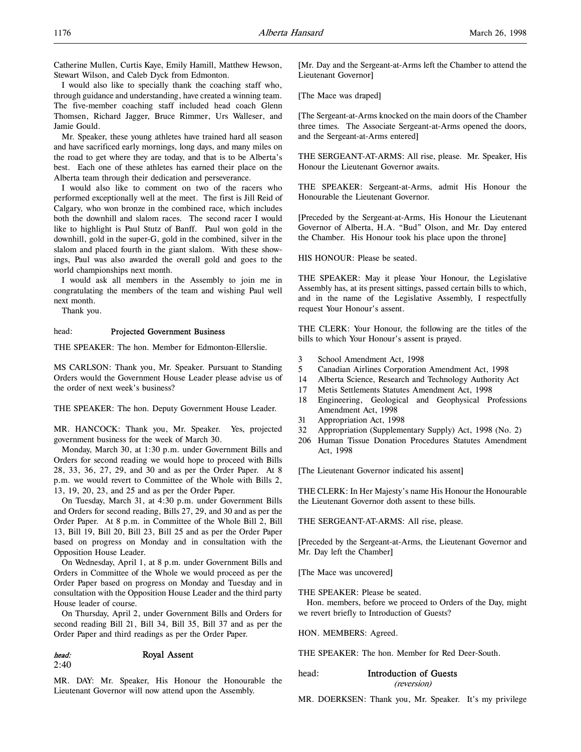Catherine Mullen, Curtis Kaye, Emily Hamill, Matthew Hewson, Stewart Wilson, and Caleb Dyck from Edmonton.

I would also like to specially thank the coaching staff who, through guidance and understanding, have created a winning team. The five-member coaching staff included head coach Glenn Thomsen, Richard Jagger, Bruce Rimmer, Urs Walleser, and Jamie Gould.

Mr. Speaker, these young athletes have trained hard all season and have sacrificed early mornings, long days, and many miles on the road to get where they are today, and that is to be Alberta's best. Each one of these athletes has earned their place on the Alberta team through their dedication and perseverance.

I would also like to comment on two of the racers who performed exceptionally well at the meet. The first is Jill Reid of Calgary, who won bronze in the combined race, which includes both the downhill and slalom races. The second racer I would like to highlight is Paul Stutz of Banff. Paul won gold in the downhill, gold in the super-G, gold in the combined, silver in the slalom and placed fourth in the giant slalom. With these showings, Paul was also awarded the overall gold and goes to the world championships next month.

I would ask all members in the Assembly to join me in congratulating the members of the team and wishing Paul well next month.

Thank you.

### head: Projected Government Business

THE SPEAKER: The hon. Member for Edmonton-Ellerslie.

MS CARLSON: Thank you, Mr. Speaker. Pursuant to Standing Orders would the Government House Leader please advise us of the order of next week's business?

THE SPEAKER: The hon. Deputy Government House Leader.

MR. HANCOCK: Thank you, Mr. Speaker. Yes, projected government business for the week of March 30.

Monday, March 30, at 1:30 p.m. under Government Bills and Orders for second reading we would hope to proceed with Bills 28, 33, 36, 27, 29, and 30 and as per the Order Paper. At 8 p.m. we would revert to Committee of the Whole with Bills 2, 13, 19, 20, 23, and 25 and as per the Order Paper.

On Tuesday, March 31, at 4:30 p.m. under Government Bills and Orders for second reading, Bills 27, 29, and 30 and as per the Order Paper. At 8 p.m. in Committee of the Whole Bill 2, Bill 13, Bill 19, Bill 20, Bill 23, Bill 25 and as per the Order Paper based on progress on Monday and in consultation with the Opposition House Leader.

On Wednesday, April 1, at 8 p.m. under Government Bills and Orders in Committee of the Whole we would proceed as per the Order Paper based on progress on Monday and Tuesday and in consultation with the Opposition House Leader and the third party House leader of course.

On Thursday, April 2, under Government Bills and Orders for second reading Bill 21, Bill 34, Bill 35, Bill 37 and as per the Order Paper and third readings as per the Order Paper.

#### head: Royal Assent

2:40

MR. DAY: Mr. Speaker, His Honour the Honourable the Lieutenant Governor will now attend upon the Assembly.

[Mr. Day and the Sergeant-at-Arms left the Chamber to attend the Lieutenant Governor]

[The Mace was draped]

[The Sergeant-at-Arms knocked on the main doors of the Chamber three times. The Associate Sergeant-at-Arms opened the doors, and the Sergeant-at-Arms entered]

THE SERGEANT-AT-ARMS: All rise, please. Mr. Speaker, His Honour the Lieutenant Governor awaits.

THE SPEAKER: Sergeant-at-Arms, admit His Honour the Honourable the Lieutenant Governor.

[Preceded by the Sergeant-at-Arms, His Honour the Lieutenant Governor of Alberta, H.A. "Bud" Olson, and Mr. Day entered the Chamber. His Honour took his place upon the throne]

HIS HONOUR: Please be seated.

THE SPEAKER: May it please Your Honour, the Legislative Assembly has, at its present sittings, passed certain bills to which, and in the name of the Legislative Assembly, I respectfully request Your Honour's assent.

THE CLERK: Your Honour, the following are the titles of the bills to which Your Honour's assent is prayed.

- 3 School Amendment Act, 1998
- 5 Canadian Airlines Corporation Amendment Act, 1998
- 14 Alberta Science, Research and Technology Authority Act
- 17 Metis Settlements Statutes Amendment Act, 1998
- 18 Engineering, Geological and Geophysical Professions Amendment Act, 1998
- 31 Appropriation Act, 1998
- 32 Appropriation (Supplementary Supply) Act, 1998 (No. 2)
- 206 Human Tissue Donation Procedures Statutes Amendment Act, 1998

[The Lieutenant Governor indicated his assent]

THE CLERK: In Her Majesty's name His Honour the Honourable the Lieutenant Governor doth assent to these bills.

THE SERGEANT-AT-ARMS: All rise, please.

[Preceded by the Sergeant-at-Arms, the Lieutenant Governor and Mr. Day left the Chamber]

[The Mace was uncovered]

THE SPEAKER: Please be seated.

Hon. members, before we proceed to Orders of the Day, might we revert briefly to Introduction of Guests?

HON. MEMBERS: Agreed.

THE SPEAKER: The hon. Member for Red Deer-South.

head: Introduction of Guests (reversion)

MR. DOERKSEN: Thank you, Mr. Speaker. It's my privilege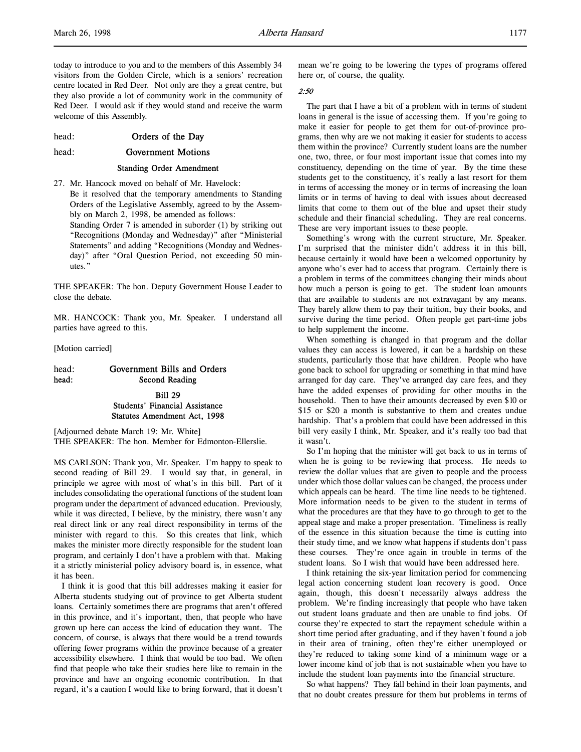today to introduce to you and to the members of this Assembly 34 visitors from the Golden Circle, which is a seniors' recreation centre located in Red Deer. Not only are they a great centre, but they also provide a lot of community work in the community of Red Deer. I would ask if they would stand and receive the warm welcome of this Assembly.

head: **Orders of the Day** 

### head: Government Motions

#### Standing Order Amendment

27. Mr. Hancock moved on behalf of Mr. Havelock: Be it resolved that the temporary amendments to Standing Orders of the Legislative Assembly, agreed to by the Assembly on March 2, 1998, be amended as follows:

Standing Order 7 is amended in suborder (1) by striking out "Recognitions (Monday and Wednesday)" after "Ministerial Statements" and adding "Recognitions (Monday and Wednesday)" after "Oral Question Period, not exceeding 50 minutes."

THE SPEAKER: The hon. Deputy Government House Leader to close the debate.

MR. HANCOCK: Thank you, Mr. Speaker. I understand all parties have agreed to this.

[Motion carried]

# head: Government Bills and Orders head: Second Reading

Bill 29 Students' Financial Assistance Statutes Amendment Act, 1998

[Adjourned debate March 19: Mr. White] THE SPEAKER: The hon. Member for Edmonton-Ellerslie.

MS CARLSON: Thank you, Mr. Speaker. I'm happy to speak to second reading of Bill 29. I would say that, in general, in principle we agree with most of what's in this bill. Part of it includes consolidating the operational functions of the student loan program under the department of advanced education. Previously, while it was directed, I believe, by the ministry, there wasn't any real direct link or any real direct responsibility in terms of the minister with regard to this. So this creates that link, which makes the minister more directly responsible for the student loan program, and certainly I don't have a problem with that. Making it a strictly ministerial policy advisory board is, in essence, what it has been.

I think it is good that this bill addresses making it easier for Alberta students studying out of province to get Alberta student loans. Certainly sometimes there are programs that aren't offered in this province, and it's important, then, that people who have grown up here can access the kind of education they want. The concern, of course, is always that there would be a trend towards offering fewer programs within the province because of a greater accessibility elsewhere. I think that would be too bad. We often find that people who take their studies here like to remain in the province and have an ongoing economic contribution. In that regard, it's a caution I would like to bring forward, that it doesn't mean we're going to be lowering the types of programs offered here or, of course, the quality.

### 2:50

The part that I have a bit of a problem with in terms of student loans in general is the issue of accessing them. If you're going to make it easier for people to get them for out-of-province programs, then why are we not making it easier for students to access them within the province? Currently student loans are the number one, two, three, or four most important issue that comes into my constituency, depending on the time of year. By the time these students get to the constituency, it's really a last resort for them in terms of accessing the money or in terms of increasing the loan limits or in terms of having to deal with issues about decreased limits that come to them out of the blue and upset their study schedule and their financial scheduling. They are real concerns. These are very important issues to these people.

Something's wrong with the current structure, Mr. Speaker. I'm surprised that the minister didn't address it in this bill, because certainly it would have been a welcomed opportunity by anyone who's ever had to access that program. Certainly there is a problem in terms of the committees changing their minds about how much a person is going to get. The student loan amounts that are available to students are not extravagant by any means. They barely allow them to pay their tuition, buy their books, and survive during the time period. Often people get part-time jobs to help supplement the income.

When something is changed in that program and the dollar values they can access is lowered, it can be a hardship on these students, particularly those that have children. People who have gone back to school for upgrading or something in that mind have arranged for day care. They've arranged day care fees, and they have the added expenses of providing for other mouths in the household. Then to have their amounts decreased by even \$10 or \$15 or \$20 a month is substantive to them and creates undue hardship. That's a problem that could have been addressed in this bill very easily I think, Mr. Speaker, and it's really too bad that it wasn't.

So I'm hoping that the minister will get back to us in terms of when he is going to be reviewing that process. He needs to review the dollar values that are given to people and the process under which those dollar values can be changed, the process under which appeals can be heard. The time line needs to be tightened. More information needs to be given to the student in terms of what the procedures are that they have to go through to get to the appeal stage and make a proper presentation. Timeliness is really of the essence in this situation because the time is cutting into their study time, and we know what happens if students don't pass these courses. They're once again in trouble in terms of the student loans. So I wish that would have been addressed here.

I think retaining the six-year limitation period for commencing legal action concerning student loan recovery is good. Once again, though, this doesn't necessarily always address the problem. We're finding increasingly that people who have taken out student loans graduate and then are unable to find jobs. Of course they're expected to start the repayment schedule within a short time period after graduating, and if they haven't found a job in their area of training, often they're either unemployed or they're reduced to taking some kind of a minimum wage or a lower income kind of job that is not sustainable when you have to include the student loan payments into the financial structure.

So what happens? They fall behind in their loan payments, and that no doubt creates pressure for them but problems in terms of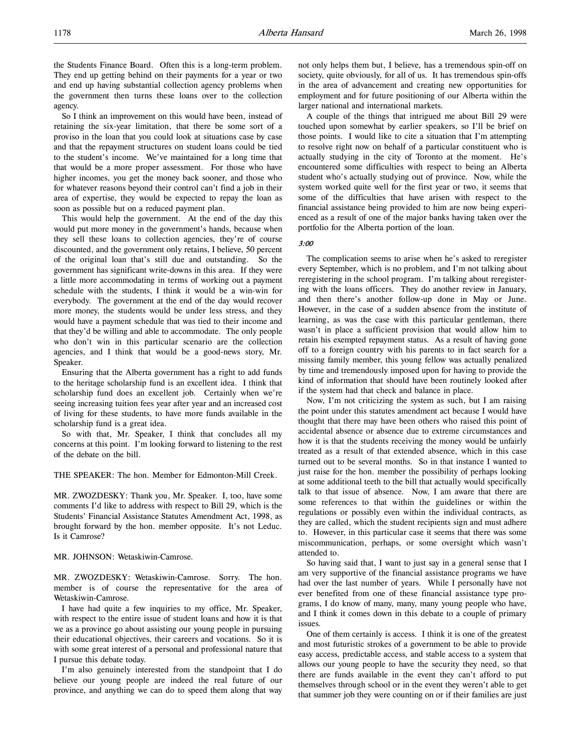the Students Finance Board. Often this is a long-term problem. They end up getting behind on their payments for a year or two and end up having substantial collection agency problems when the government then turns these loans over to the collection agency.

So I think an improvement on this would have been, instead of retaining the six-year limitation, that there be some sort of a proviso in the loan that you could look at situations case by case and that the repayment structures on student loans could be tied to the student's income. We've maintained for a long time that that would be a more proper assessment. For those who have higher incomes, you get the money back sooner, and those who for whatever reasons beyond their control can't find a job in their area of expertise, they would be expected to repay the loan as soon as possible but on a reduced payment plan.

This would help the government. At the end of the day this would put more money in the government's hands, because when they sell these loans to collection agencies, they're of course discounted, and the government only retains, I believe, 50 percent of the original loan that's still due and outstanding. So the government has significant write-downs in this area. If they were a little more accommodating in terms of working out a payment schedule with the students, I think it would be a win-win for everybody. The government at the end of the day would recover more money, the students would be under less stress, and they would have a payment schedule that was tied to their income and that they'd be willing and able to accommodate. The only people who don't win in this particular scenario are the collection agencies, and I think that would be a good-news story, Mr. Speaker.

Ensuring that the Alberta government has a right to add funds to the heritage scholarship fund is an excellent idea. I think that scholarship fund does an excellent job. Certainly when we're seeing increasing tuition fees year after year and an increased cost of living for these students, to have more funds available in the scholarship fund is a great idea.

So with that, Mr. Speaker, I think that concludes all my concerns at this point. I'm looking forward to listening to the rest of the debate on the bill.

THE SPEAKER: The hon. Member for Edmonton-Mill Creek.

MR. ZWOZDESKY: Thank you, Mr. Speaker. I, too, have some comments I'd like to address with respect to Bill 29, which is the Students' Financial Assistance Statutes Amendment Act, 1998, as brought forward by the hon. member opposite. It's not Leduc. Is it Camrose?

MR. JOHNSON: Wetaskiwin-Camrose.

MR. ZWOZDESKY: Wetaskiwin-Camrose. Sorry. The hon. member is of course the representative for the area of Wetaskiwin-Camrose.

I have had quite a few inquiries to my office, Mr. Speaker, with respect to the entire issue of student loans and how it is that we as a province go about assisting our young people in pursuing their educational objectives, their careers and vocations. So it is with some great interest of a personal and professional nature that I pursue this debate today.

I'm also genuinely interested from the standpoint that I do believe our young people are indeed the real future of our province, and anything we can do to speed them along that way

not only helps them but, I believe, has a tremendous spin-off on society, quite obviously, for all of us. It has tremendous spin-offs in the area of advancement and creating new opportunities for employment and for future positioning of our Alberta within the larger national and international markets.

A couple of the things that intrigued me about Bill 29 were touched upon somewhat by earlier speakers, so I'll be brief on those points. I would like to cite a situation that I'm attempting to resolve right now on behalf of a particular constituent who is actually studying in the city of Toronto at the moment. He's encountered some difficulties with respect to being an Alberta student who's actually studying out of province. Now, while the system worked quite well for the first year or two, it seems that some of the difficulties that have arisen with respect to the financial assistance being provided to him are now being experienced as a result of one of the major banks having taken over the portfolio for the Alberta portion of the loan.

### 3:00

The complication seems to arise when he's asked to reregister every September, which is no problem, and I'm not talking about reregistering in the school program. I'm talking about reregistering with the loans officers. They do another review in January, and then there's another follow-up done in May or June. However, in the case of a sudden absence from the institute of learning, as was the case with this particular gentleman, there wasn't in place a sufficient provision that would allow him to retain his exempted repayment status. As a result of having gone off to a foreign country with his parents to in fact search for a missing family member, this young fellow was actually penalized by time and tremendously imposed upon for having to provide the kind of information that should have been routinely looked after if the system had that check and balance in place.

Now, I'm not criticizing the system as such, but I am raising the point under this statutes amendment act because I would have thought that there may have been others who raised this point of accidental absence or absence due to extreme circumstances and how it is that the students receiving the money would be unfairly treated as a result of that extended absence, which in this case turned out to be several months. So in that instance I wanted to just raise for the hon. member the possibility of perhaps looking at some additional teeth to the bill that actually would specifically talk to that issue of absence. Now, I am aware that there are some references to that within the guidelines or within the regulations or possibly even within the individual contracts, as they are called, which the student recipients sign and must adhere to. However, in this particular case it seems that there was some miscommunication, perhaps, or some oversight which wasn't attended to.

So having said that, I want to just say in a general sense that I am very supportive of the financial assistance programs we have had over the last number of years. While I personally have not ever benefited from one of these financial assistance type programs, I do know of many, many, many young people who have, and I think it comes down in this debate to a couple of primary issues.

One of them certainly is access. I think it is one of the greatest and most futuristic strokes of a government to be able to provide easy access, predictable access, and stable access to a system that allows our young people to have the security they need, so that there are funds available in the event they can't afford to put themselves through school or in the event they weren't able to get that summer job they were counting on or if their families are just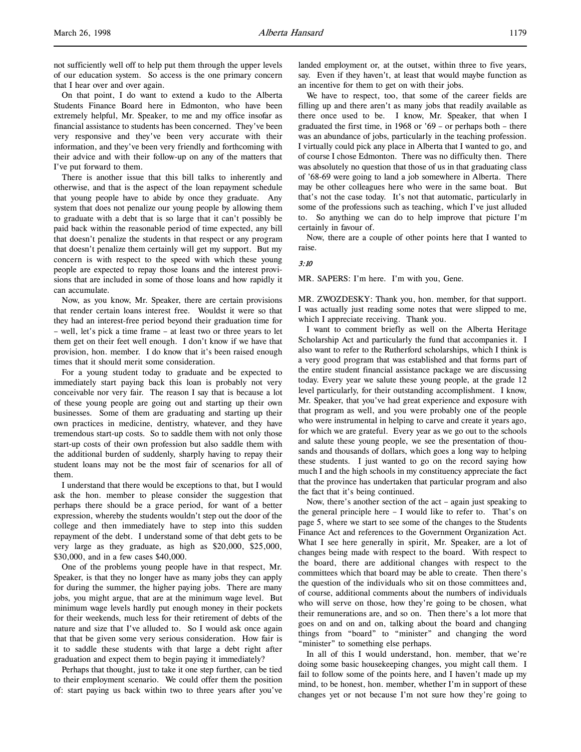On that point, I do want to extend a kudo to the Alberta Students Finance Board here in Edmonton, who have been extremely helpful, Mr. Speaker, to me and my office insofar as financial assistance to students has been concerned. They've been very responsive and they've been very accurate with their information, and they've been very friendly and forthcoming with their advice and with their follow-up on any of the matters that I've put forward to them.

There is another issue that this bill talks to inherently and otherwise, and that is the aspect of the loan repayment schedule that young people have to abide by once they graduate. Any system that does not penalize our young people by allowing them to graduate with a debt that is so large that it can't possibly be paid back within the reasonable period of time expected, any bill that doesn't penalize the students in that respect or any program that doesn't penalize them certainly will get my support. But my concern is with respect to the speed with which these young people are expected to repay those loans and the interest provisions that are included in some of those loans and how rapidly it can accumulate.

Now, as you know, Mr. Speaker, there are certain provisions that render certain loans interest free. Wouldst it were so that they had an interest-free period beyond their graduation time for – well, let's pick a time frame – at least two or three years to let them get on their feet well enough. I don't know if we have that provision, hon. member. I do know that it's been raised enough times that it should merit some consideration.

For a young student today to graduate and be expected to immediately start paying back this loan is probably not very conceivable nor very fair. The reason I say that is because a lot of these young people are going out and starting up their own businesses. Some of them are graduating and starting up their own practices in medicine, dentistry, whatever, and they have tremendous start-up costs. So to saddle them with not only those start-up costs of their own profession but also saddle them with the additional burden of suddenly, sharply having to repay their student loans may not be the most fair of scenarios for all of them.

I understand that there would be exceptions to that, but I would ask the hon. member to please consider the suggestion that perhaps there should be a grace period, for want of a better expression, whereby the students wouldn't step out the door of the college and then immediately have to step into this sudden repayment of the debt. I understand some of that debt gets to be very large as they graduate, as high as \$20,000, \$25,000, \$30,000, and in a few cases \$40,000.

One of the problems young people have in that respect, Mr. Speaker, is that they no longer have as many jobs they can apply for during the summer, the higher paying jobs. There are many jobs, you might argue, that are at the minimum wage level. But minimum wage levels hardly put enough money in their pockets for their weekends, much less for their retirement of debts of the nature and size that I've alluded to. So I would ask once again that that be given some very serious consideration. How fair is it to saddle these students with that large a debt right after graduation and expect them to begin paying it immediately?

Perhaps that thought, just to take it one step further, can be tied to their employment scenario. We could offer them the position of: start paying us back within two to three years after you've

landed employment or, at the outset, within three to five years, say. Even if they haven't, at least that would maybe function as an incentive for them to get on with their jobs.

We have to respect, too, that some of the career fields are filling up and there aren't as many jobs that readily available as there once used to be. I know, Mr. Speaker, that when I graduated the first time, in 1968 or '69 – or perhaps both – there was an abundance of jobs, particularly in the teaching profession. I virtually could pick any place in Alberta that I wanted to go, and of course I chose Edmonton. There was no difficulty then. There was absolutely no question that those of us in that graduating class of '68-69 were going to land a job somewhere in Alberta. There may be other colleagues here who were in the same boat. But that's not the case today. It's not that automatic, particularly in some of the professions such as teaching, which I've just alluded to. So anything we can do to help improve that picture I'm certainly in favour of.

Now, there are a couple of other points here that I wanted to raise.

# 3:10

MR. SAPERS: I'm here. I'm with you, Gene.

MR. ZWOZDESKY: Thank you, hon. member, for that support. I was actually just reading some notes that were slipped to me, which I appreciate receiving. Thank you.

I want to comment briefly as well on the Alberta Heritage Scholarship Act and particularly the fund that accompanies it. I also want to refer to the Rutherford scholarships, which I think is a very good program that was established and that forms part of the entire student financial assistance package we are discussing today. Every year we salute these young people, at the grade 12 level particularly, for their outstanding accomplishment. I know, Mr. Speaker, that you've had great experience and exposure with that program as well, and you were probably one of the people who were instrumental in helping to carve and create it years ago, for which we are grateful. Every year as we go out to the schools and salute these young people, we see the presentation of thousands and thousands of dollars, which goes a long way to helping these students. I just wanted to go on the record saying how much I and the high schools in my constituency appreciate the fact that the province has undertaken that particular program and also the fact that it's being continued.

Now, there's another section of the act – again just speaking to the general principle here – I would like to refer to. That's on page 5, where we start to see some of the changes to the Students Finance Act and references to the Government Organization Act. What I see here generally in spirit, Mr. Speaker, are a lot of changes being made with respect to the board. With respect to the board, there are additional changes with respect to the committees which that board may be able to create. Then there's the question of the individuals who sit on those committees and, of course, additional comments about the numbers of individuals who will serve on those, how they're going to be chosen, what their remunerations are, and so on. Then there's a lot more that goes on and on and on, talking about the board and changing things from "board" to "minister" and changing the word "minister" to something else perhaps.

In all of this I would understand, hon. member, that we're doing some basic housekeeping changes, you might call them. I fail to follow some of the points here, and I haven't made up my mind, to be honest, hon. member, whether I'm in support of these changes yet or not because I'm not sure how they're going to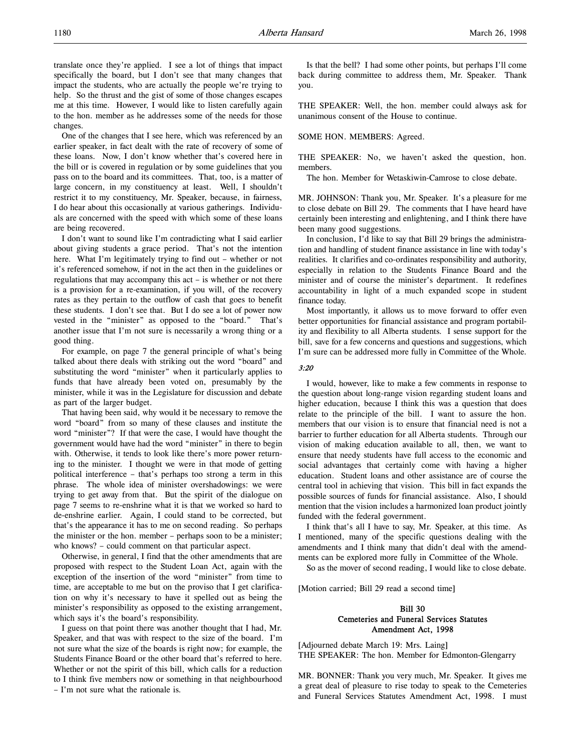translate once they're applied. I see a lot of things that impact specifically the board, but I don't see that many changes that impact the students, who are actually the people we're trying to help. So the thrust and the gist of some of those changes escapes me at this time. However, I would like to listen carefully again to the hon. member as he addresses some of the needs for those changes.

One of the changes that I see here, which was referenced by an earlier speaker, in fact dealt with the rate of recovery of some of these loans. Now, I don't know whether that's covered here in the bill or is covered in regulation or by some guidelines that you pass on to the board and its committees. That, too, is a matter of large concern, in my constituency at least. Well, I shouldn't restrict it to my constituency, Mr. Speaker, because, in fairness, I do hear about this occasionally at various gatherings. Individuals are concerned with the speed with which some of these loans are being recovered.

I don't want to sound like I'm contradicting what I said earlier about giving students a grace period. That's not the intention here. What I'm legitimately trying to find out – whether or not it's referenced somehow, if not in the act then in the guidelines or regulations that may accompany this act – is whether or not there is a provision for a re-examination, if you will, of the recovery rates as they pertain to the outflow of cash that goes to benefit these students. I don't see that. But I do see a lot of power now vested in the "minister" as opposed to the "board." That's another issue that I'm not sure is necessarily a wrong thing or a good thing.

For example, on page 7 the general principle of what's being talked about there deals with striking out the word "board" and substituting the word "minister" when it particularly applies to funds that have already been voted on, presumably by the minister, while it was in the Legislature for discussion and debate as part of the larger budget.

That having been said, why would it be necessary to remove the word "board" from so many of these clauses and institute the word "minister"? If that were the case, I would have thought the government would have had the word "minister" in there to begin with. Otherwise, it tends to look like there's more power returning to the minister. I thought we were in that mode of getting political interference – that's perhaps too strong a term in this phrase. The whole idea of minister overshadowings: we were trying to get away from that. But the spirit of the dialogue on page 7 seems to re-enshrine what it is that we worked so hard to de-enshrine earlier. Again, I could stand to be corrected, but that's the appearance it has to me on second reading. So perhaps the minister or the hon. member – perhaps soon to be a minister; who knows? – could comment on that particular aspect.

Otherwise, in general, I find that the other amendments that are proposed with respect to the Student Loan Act, again with the exception of the insertion of the word "minister" from time to time, are acceptable to me but on the proviso that I get clarification on why it's necessary to have it spelled out as being the minister's responsibility as opposed to the existing arrangement, which says it's the board's responsibility.

I guess on that point there was another thought that I had, Mr. Speaker, and that was with respect to the size of the board. I'm not sure what the size of the boards is right now; for example, the Students Finance Board or the other board that's referred to here. Whether or not the spirit of this bill, which calls for a reduction to I think five members now or something in that neighbourhood – I'm not sure what the rationale is.

Is that the bell? I had some other points, but perhaps I'll come back during committee to address them, Mr. Speaker. Thank you.

THE SPEAKER: Well, the hon. member could always ask for unanimous consent of the House to continue.

### SOME HON. MEMBERS: Agreed.

THE SPEAKER: No, we haven't asked the question, hon. members.

The hon. Member for Wetaskiwin-Camrose to close debate.

MR. JOHNSON: Thank you, Mr. Speaker. It's a pleasure for me to close debate on Bill 29. The comments that I have heard have certainly been interesting and enlightening, and I think there have been many good suggestions.

In conclusion, I'd like to say that Bill 29 brings the administration and handling of student finance assistance in line with today's realities. It clarifies and co-ordinates responsibility and authority, especially in relation to the Students Finance Board and the minister and of course the minister's department. It redefines accountability in light of a much expanded scope in student finance today.

Most importantly, it allows us to move forward to offer even better opportunities for financial assistance and program portability and flexibility to all Alberta students. I sense support for the bill, save for a few concerns and questions and suggestions, which I'm sure can be addressed more fully in Committee of the Whole.

### 3:20

I would, however, like to make a few comments in response to the question about long-range vision regarding student loans and higher education, because I think this was a question that does relate to the principle of the bill. I want to assure the hon. members that our vision is to ensure that financial need is not a barrier to further education for all Alberta students. Through our vision of making education available to all, then, we want to ensure that needy students have full access to the economic and social advantages that certainly come with having a higher education. Student loans and other assistance are of course the central tool in achieving that vision. This bill in fact expands the possible sources of funds for financial assistance. Also, I should mention that the vision includes a harmonized loan product jointly funded with the federal government.

I think that's all I have to say, Mr. Speaker, at this time. As I mentioned, many of the specific questions dealing with the amendments and I think many that didn't deal with the amendments can be explored more fully in Committee of the Whole.

So as the mover of second reading, I would like to close debate.

[Motion carried; Bill 29 read a second time]

# Bill 30 Cemeteries and Funeral Services Statutes Amendment Act, 1998

[Adjourned debate March 19: Mrs. Laing] THE SPEAKER: The hon. Member for Edmonton-Glengarry

MR. BONNER: Thank you very much, Mr. Speaker. It gives me a great deal of pleasure to rise today to speak to the Cemeteries and Funeral Services Statutes Amendment Act, 1998. I must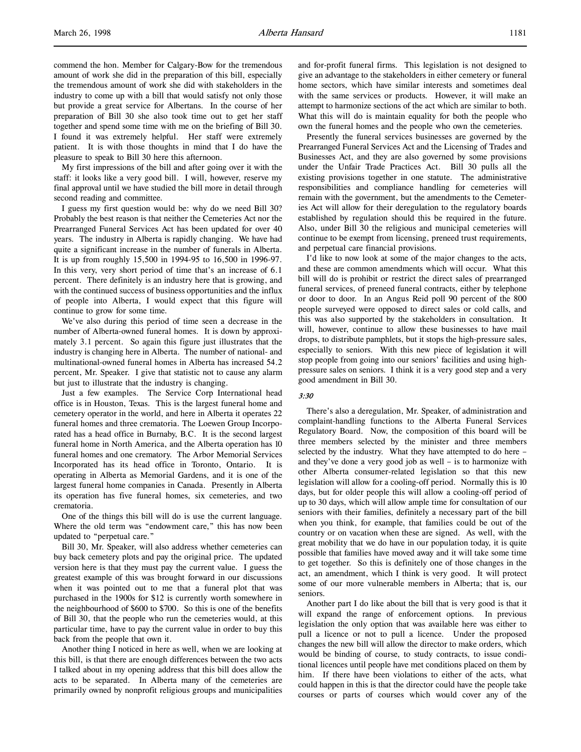commend the hon. Member for Calgary-Bow for the tremendous amount of work she did in the preparation of this bill, especially the tremendous amount of work she did with stakeholders in the industry to come up with a bill that would satisfy not only those but provide a great service for Albertans. In the course of her preparation of Bill 30 she also took time out to get her staff together and spend some time with me on the briefing of Bill 30. I found it was extremely helpful. Her staff were extremely patient. It is with those thoughts in mind that I do have the pleasure to speak to Bill 30 here this afternoon.

My first impressions of the bill and after going over it with the staff: it looks like a very good bill. I will, however, reserve my final approval until we have studied the bill more in detail through second reading and committee.

I guess my first question would be: why do we need Bill 30? Probably the best reason is that neither the Cemeteries Act nor the Prearranged Funeral Services Act has been updated for over 40 years. The industry in Alberta is rapidly changing. We have had quite a significant increase in the number of funerals in Alberta. It is up from roughly 15,500 in 1994-95 to 16,500 in 1996-97. In this very, very short period of time that's an increase of 6.1 percent. There definitely is an industry here that is growing, and with the continued success of business opportunities and the influx of people into Alberta, I would expect that this figure will continue to grow for some time.

We've also during this period of time seen a decrease in the number of Alberta-owned funeral homes. It is down by approximately 3.1 percent. So again this figure just illustrates that the industry is changing here in Alberta. The number of national- and multinational-owned funeral homes in Alberta has increased 54.2 percent, Mr. Speaker. I give that statistic not to cause any alarm but just to illustrate that the industry is changing.

Just a few examples. The Service Corp International head office is in Houston, Texas. This is the largest funeral home and cemetery operator in the world, and here in Alberta it operates 22 funeral homes and three crematoria. The Loewen Group Incorporated has a head office in Burnaby, B.C. It is the second largest funeral home in North America, and the Alberta operation has 10 funeral homes and one crematory. The Arbor Memorial Services Incorporated has its head office in Toronto, Ontario. It is operating in Alberta as Memorial Gardens, and it is one of the largest funeral home companies in Canada. Presently in Alberta its operation has five funeral homes, six cemeteries, and two crematoria.

One of the things this bill will do is use the current language. Where the old term was "endowment care," this has now been updated to "perpetual care."

Bill 30, Mr. Speaker, will also address whether cemeteries can buy back cemetery plots and pay the original price. The updated version here is that they must pay the current value. I guess the greatest example of this was brought forward in our discussions when it was pointed out to me that a funeral plot that was purchased in the 1900s for \$12 is currently worth somewhere in the neighbourhood of \$600 to \$700. So this is one of the benefits of Bill 30, that the people who run the cemeteries would, at this particular time, have to pay the current value in order to buy this back from the people that own it.

Another thing I noticed in here as well, when we are looking at this bill, is that there are enough differences between the two acts I talked about in my opening address that this bill does allow the acts to be separated. In Alberta many of the cemeteries are primarily owned by nonprofit religious groups and municipalities and for-profit funeral firms. This legislation is not designed to give an advantage to the stakeholders in either cemetery or funeral home sectors, which have similar interests and sometimes deal with the same services or products. However, it will make an attempt to harmonize sections of the act which are similar to both. What this will do is maintain equality for both the people who own the funeral homes and the people who own the cemeteries.

Presently the funeral services businesses are governed by the Prearranged Funeral Services Act and the Licensing of Trades and Businesses Act, and they are also governed by some provisions under the Unfair Trade Practices Act. Bill 30 pulls all the existing provisions together in one statute. The administrative responsibilities and compliance handling for cemeteries will remain with the government, but the amendments to the Cemeteries Act will allow for their deregulation to the regulatory boards established by regulation should this be required in the future. Also, under Bill 30 the religious and municipal cemeteries will continue to be exempt from licensing, preneed trust requirements, and perpetual care financial provisions.

I'd like to now look at some of the major changes to the acts, and these are common amendments which will occur. What this bill will do is prohibit or restrict the direct sales of prearranged funeral services, of preneed funeral contracts, either by telephone or door to door. In an Angus Reid poll 90 percent of the 800 people surveyed were opposed to direct sales or cold calls, and this was also supported by the stakeholders in consultation. It will, however, continue to allow these businesses to have mail drops, to distribute pamphlets, but it stops the high-pressure sales, especially to seniors. With this new piece of legislation it will stop people from going into our seniors' facilities and using highpressure sales on seniors. I think it is a very good step and a very good amendment in Bill 30.

### 3:30

There's also a deregulation, Mr. Speaker, of administration and complaint-handling functions to the Alberta Funeral Services Regulatory Board. Now, the composition of this board will be three members selected by the minister and three members selected by the industry. What they have attempted to do here – and they've done a very good job as well – is to harmonize with other Alberta consumer-related legislation so that this new legislation will allow for a cooling-off period. Normally this is 10 days, but for older people this will allow a cooling-off period of up to 30 days, which will allow ample time for consultation of our seniors with their families, definitely a necessary part of the bill when you think, for example, that families could be out of the country or on vacation when these are signed. As well, with the great mobility that we do have in our population today, it is quite possible that families have moved away and it will take some time to get together. So this is definitely one of those changes in the act, an amendment, which I think is very good. It will protect some of our more vulnerable members in Alberta; that is, our seniors.

Another part I do like about the bill that is very good is that it will expand the range of enforcement options. In previous legislation the only option that was available here was either to pull a licence or not to pull a licence. Under the proposed changes the new bill will allow the director to make orders, which would be binding of course, to study contracts, to issue conditional licences until people have met conditions placed on them by him. If there have been violations to either of the acts, what could happen in this is that the director could have the people take courses or parts of courses which would cover any of the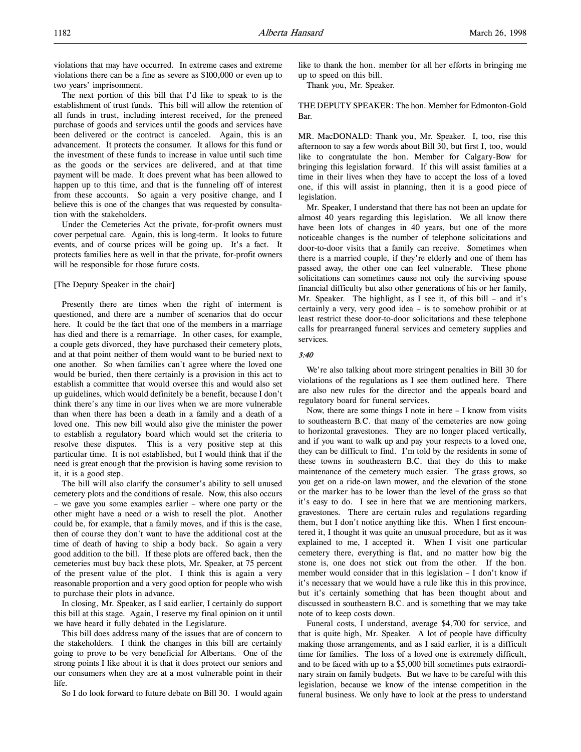violations that may have occurred. In extreme cases and extreme violations there can be a fine as severe as \$100,000 or even up to two years' imprisonment.

The next portion of this bill that I'd like to speak to is the establishment of trust funds. This bill will allow the retention of all funds in trust, including interest received, for the preneed purchase of goods and services until the goods and services have been delivered or the contract is canceled. Again, this is an advancement. It protects the consumer. It allows for this fund or the investment of these funds to increase in value until such time as the goods or the services are delivered, and at that time payment will be made. It does prevent what has been allowed to happen up to this time, and that is the funneling off of interest from these accounts. So again a very positive change, and I believe this is one of the changes that was requested by consultation with the stakeholders.

Under the Cemeteries Act the private, for-profit owners must cover perpetual care. Again, this is long-term. It looks to future events, and of course prices will be going up. It's a fact. It protects families here as well in that the private, for-profit owners will be responsible for those future costs.

#### [The Deputy Speaker in the chair]

Presently there are times when the right of interment is questioned, and there are a number of scenarios that do occur here. It could be the fact that one of the members in a marriage has died and there is a remarriage. In other cases, for example, a couple gets divorced, they have purchased their cemetery plots, and at that point neither of them would want to be buried next to one another. So when families can't agree where the loved one would be buried, then there certainly is a provision in this act to establish a committee that would oversee this and would also set up guidelines, which would definitely be a benefit, because I don't think there's any time in our lives when we are more vulnerable than when there has been a death in a family and a death of a loved one. This new bill would also give the minister the power to establish a regulatory board which would set the criteria to resolve these disputes. This is a very positive step at this particular time. It is not established, but I would think that if the need is great enough that the provision is having some revision to it, it is a good step.

The bill will also clarify the consumer's ability to sell unused cemetery plots and the conditions of resale. Now, this also occurs – we gave you some examples earlier – where one party or the other might have a need or a wish to resell the plot. Another could be, for example, that a family moves, and if this is the case, then of course they don't want to have the additional cost at the time of death of having to ship a body back. So again a very good addition to the bill. If these plots are offered back, then the cemeteries must buy back these plots, Mr. Speaker, at 75 percent of the present value of the plot. I think this is again a very reasonable proportion and a very good option for people who wish to purchase their plots in advance.

In closing, Mr. Speaker, as I said earlier, I certainly do support this bill at this stage. Again, I reserve my final opinion on it until we have heard it fully debated in the Legislature.

This bill does address many of the issues that are of concern to the stakeholders. I think the changes in this bill are certainly going to prove to be very beneficial for Albertans. One of the strong points I like about it is that it does protect our seniors and our consumers when they are at a most vulnerable point in their life.

So I do look forward to future debate on Bill 30. I would again

like to thank the hon. member for all her efforts in bringing me up to speed on this bill.

Thank you, Mr. Speaker.

THE DEPUTY SPEAKER: The hon. Member for Edmonton-Gold Bar.

MR. MacDONALD: Thank you, Mr. Speaker. I, too, rise this afternoon to say a few words about Bill 30, but first I, too, would like to congratulate the hon. Member for Calgary-Bow for bringing this legislation forward. If this will assist families at a time in their lives when they have to accept the loss of a loved one, if this will assist in planning, then it is a good piece of legislation.

Mr. Speaker, I understand that there has not been an update for almost 40 years regarding this legislation. We all know there have been lots of changes in 40 years, but one of the more noticeable changes is the number of telephone solicitations and door-to-door visits that a family can receive. Sometimes when there is a married couple, if they're elderly and one of them has passed away, the other one can feel vulnerable. These phone solicitations can sometimes cause not only the surviving spouse financial difficulty but also other generations of his or her family, Mr. Speaker. The highlight, as I see it, of this bill – and it's certainly a very, very good idea – is to somehow prohibit or at least restrict these door-to-door solicitations and these telephone calls for prearranged funeral services and cemetery supplies and services.

#### 3:40

We're also talking about more stringent penalties in Bill 30 for violations of the regulations as I see them outlined here. There are also new rules for the director and the appeals board and regulatory board for funeral services.

Now, there are some things I note in here  $-$  I know from visits to southeastern B.C. that many of the cemeteries are now going to horizontal gravestones. They are no longer placed vertically, and if you want to walk up and pay your respects to a loved one, they can be difficult to find. I'm told by the residents in some of these towns in southeastern B.C. that they do this to make maintenance of the cemetery much easier. The grass grows, so you get on a ride-on lawn mower, and the elevation of the stone or the marker has to be lower than the level of the grass so that it's easy to do. I see in here that we are mentioning markers, gravestones. There are certain rules and regulations regarding them, but I don't notice anything like this. When I first encountered it, I thought it was quite an unusual procedure, but as it was explained to me, I accepted it. When I visit one particular cemetery there, everything is flat, and no matter how big the stone is, one does not stick out from the other. If the hon. member would consider that in this legislation – I don't know if it's necessary that we would have a rule like this in this province, but it's certainly something that has been thought about and discussed in southeastern B.C. and is something that we may take note of to keep costs down.

Funeral costs, I understand, average \$4,700 for service, and that is quite high, Mr. Speaker. A lot of people have difficulty making those arrangements, and as I said earlier, it is a difficult time for families. The loss of a loved one is extremely difficult, and to be faced with up to a \$5,000 bill sometimes puts extraordinary strain on family budgets. But we have to be careful with this legislation, because we know of the intense competition in the funeral business. We only have to look at the press to understand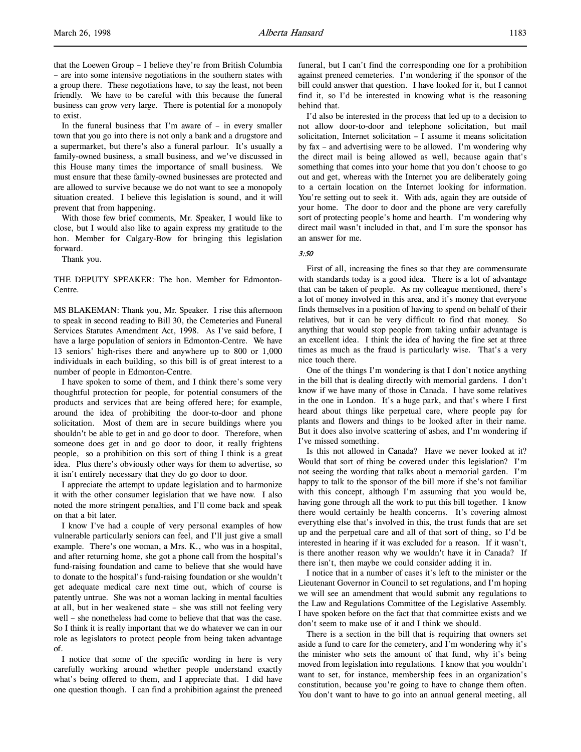that the Loewen Group – I believe they're from British Columbia – are into some intensive negotiations in the southern states with a group there. These negotiations have, to say the least, not been friendly. We have to be careful with this because the funeral business can grow very large. There is potential for a monopoly to exist.

In the funeral business that I'm aware of  $-$  in every smaller town that you go into there is not only a bank and a drugstore and a supermarket, but there's also a funeral parlour. It's usually a family-owned business, a small business, and we've discussed in this House many times the importance of small business. We must ensure that these family-owned businesses are protected and are allowed to survive because we do not want to see a monopoly situation created. I believe this legislation is sound, and it will prevent that from happening.

With those few brief comments, Mr. Speaker, I would like to close, but I would also like to again express my gratitude to the hon. Member for Calgary-Bow for bringing this legislation forward.

Thank you.

THE DEPUTY SPEAKER: The hon. Member for Edmonton-Centre.

MS BLAKEMAN: Thank you, Mr. Speaker. I rise this afternoon to speak in second reading to Bill 30, the Cemeteries and Funeral Services Statutes Amendment Act, 1998. As I've said before, I have a large population of seniors in Edmonton-Centre. We have 13 seniors' high-rises there and anywhere up to 800 or 1,000 individuals in each building, so this bill is of great interest to a number of people in Edmonton-Centre.

I have spoken to some of them, and I think there's some very thoughtful protection for people, for potential consumers of the products and services that are being offered here; for example, around the idea of prohibiting the door-to-door and phone solicitation. Most of them are in secure buildings where you shouldn't be able to get in and go door to door. Therefore, when someone does get in and go door to door, it really frightens people, so a prohibition on this sort of thing I think is a great idea. Plus there's obviously other ways for them to advertise, so it isn't entirely necessary that they do go door to door.

I appreciate the attempt to update legislation and to harmonize it with the other consumer legislation that we have now. I also noted the more stringent penalties, and I'll come back and speak on that a bit later.

I know I've had a couple of very personal examples of how vulnerable particularly seniors can feel, and I'll just give a small example. There's one woman, a Mrs. K., who was in a hospital, and after returning home, she got a phone call from the hospital's fund-raising foundation and came to believe that she would have to donate to the hospital's fund-raising foundation or she wouldn't get adequate medical care next time out, which of course is patently untrue. She was not a woman lacking in mental faculties at all, but in her weakened state – she was still not feeling very well – she nonetheless had come to believe that that was the case. So I think it is really important that we do whatever we can in our role as legislators to protect people from being taken advantage of.

I notice that some of the specific wording in here is very carefully working around whether people understand exactly what's being offered to them, and I appreciate that. I did have one question though. I can find a prohibition against the preneed funeral, but I can't find the corresponding one for a prohibition against preneed cemeteries. I'm wondering if the sponsor of the bill could answer that question. I have looked for it, but I cannot find it, so I'd be interested in knowing what is the reasoning behind that.

I'd also be interested in the process that led up to a decision to not allow door-to-door and telephone solicitation, but mail solicitation, Internet solicitation – I assume it means solicitation by fax – and advertising were to be allowed. I'm wondering why the direct mail is being allowed as well, because again that's something that comes into your home that you don't choose to go out and get, whereas with the Internet you are deliberately going to a certain location on the Internet looking for information. You're setting out to seek it. With ads, again they are outside of your home. The door to door and the phone are very carefully sort of protecting people's home and hearth. I'm wondering why direct mail wasn't included in that, and I'm sure the sponsor has an answer for me.

#### 3:50

First of all, increasing the fines so that they are commensurate with standards today is a good idea. There is a lot of advantage that can be taken of people. As my colleague mentioned, there's a lot of money involved in this area, and it's money that everyone finds themselves in a position of having to spend on behalf of their relatives, but it can be very difficult to find that money. So anything that would stop people from taking unfair advantage is an excellent idea. I think the idea of having the fine set at three times as much as the fraud is particularly wise. That's a very nice touch there.

One of the things I'm wondering is that I don't notice anything in the bill that is dealing directly with memorial gardens. I don't know if we have many of those in Canada. I have some relatives in the one in London. It's a huge park, and that's where I first heard about things like perpetual care, where people pay for plants and flowers and things to be looked after in their name. But it does also involve scattering of ashes, and I'm wondering if I've missed something.

Is this not allowed in Canada? Have we never looked at it? Would that sort of thing be covered under this legislation? I'm not seeing the wording that talks about a memorial garden. I'm happy to talk to the sponsor of the bill more if she's not familiar with this concept, although I'm assuming that you would be, having gone through all the work to put this bill together. I know there would certainly be health concerns. It's covering almost everything else that's involved in this, the trust funds that are set up and the perpetual care and all of that sort of thing, so I'd be interested in hearing if it was excluded for a reason. If it wasn't, is there another reason why we wouldn't have it in Canada? If there isn't, then maybe we could consider adding it in.

I notice that in a number of cases it's left to the minister or the Lieutenant Governor in Council to set regulations, and I'm hoping we will see an amendment that would submit any regulations to the Law and Regulations Committee of the Legislative Assembly. I have spoken before on the fact that that committee exists and we don't seem to make use of it and I think we should.

There is a section in the bill that is requiring that owners set aside a fund to care for the cemetery, and I'm wondering why it's the minister who sets the amount of that fund, why it's being moved from legislation into regulations. I know that you wouldn't want to set, for instance, membership fees in an organization's constitution, because you're going to have to change them often. You don't want to have to go into an annual general meeting, all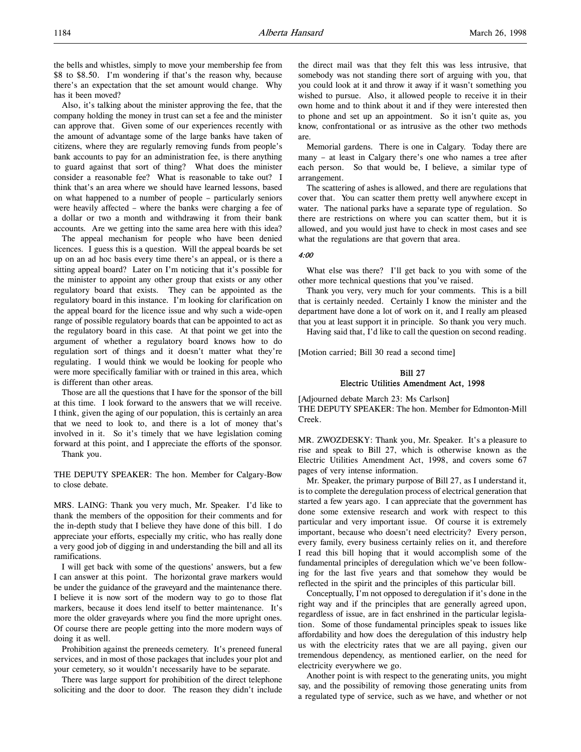the bells and whistles, simply to move your membership fee from \$8 to \$8.50. I'm wondering if that's the reason why, because there's an expectation that the set amount would change. Why has it been moved?

Also, it's talking about the minister approving the fee, that the company holding the money in trust can set a fee and the minister can approve that. Given some of our experiences recently with the amount of advantage some of the large banks have taken of citizens, where they are regularly removing funds from people's bank accounts to pay for an administration fee, is there anything to guard against that sort of thing? What does the minister consider a reasonable fee? What is reasonable to take out? I think that's an area where we should have learned lessons, based on what happened to a number of people – particularly seniors were heavily affected – where the banks were charging a fee of a dollar or two a month and withdrawing it from their bank accounts. Are we getting into the same area here with this idea?

The appeal mechanism for people who have been denied licences. I guess this is a question. Will the appeal boards be set up on an ad hoc basis every time there's an appeal, or is there a sitting appeal board? Later on I'm noticing that it's possible for the minister to appoint any other group that exists or any other regulatory board that exists. They can be appointed as the regulatory board in this instance. I'm looking for clarification on the appeal board for the licence issue and why such a wide-open range of possible regulatory boards that can be appointed to act as the regulatory board in this case. At that point we get into the argument of whether a regulatory board knows how to do regulation sort of things and it doesn't matter what they're regulating. I would think we would be looking for people who were more specifically familiar with or trained in this area, which is different than other areas.

Those are all the questions that I have for the sponsor of the bill at this time. I look forward to the answers that we will receive. I think, given the aging of our population, this is certainly an area that we need to look to, and there is a lot of money that's involved in it. So it's timely that we have legislation coming forward at this point, and I appreciate the efforts of the sponsor. Thank you.

THE DEPUTY SPEAKER: The hon. Member for Calgary-Bow to close debate.

MRS. LAING: Thank you very much, Mr. Speaker. I'd like to thank the members of the opposition for their comments and for the in-depth study that I believe they have done of this bill. I do appreciate your efforts, especially my critic, who has really done a very good job of digging in and understanding the bill and all its ramifications.

I will get back with some of the questions' answers, but a few I can answer at this point. The horizontal grave markers would be under the guidance of the graveyard and the maintenance there. I believe it is now sort of the modern way to go to those flat markers, because it does lend itself to better maintenance. It's more the older graveyards where you find the more upright ones. Of course there are people getting into the more modern ways of doing it as well.

Prohibition against the preneeds cemetery. It's preneed funeral services, and in most of those packages that includes your plot and your cemetery, so it wouldn't necessarily have to be separate.

There was large support for prohibition of the direct telephone soliciting and the door to door. The reason they didn't include the direct mail was that they felt this was less intrusive, that somebody was not standing there sort of arguing with you, that you could look at it and throw it away if it wasn't something you wished to pursue. Also, it allowed people to receive it in their own home and to think about it and if they were interested then to phone and set up an appointment. So it isn't quite as, you know, confrontational or as intrusive as the other two methods are.

Memorial gardens. There is one in Calgary. Today there are many – at least in Calgary there's one who names a tree after each person. So that would be, I believe, a similar type of arrangement.

The scattering of ashes is allowed, and there are regulations that cover that. You can scatter them pretty well anywhere except in water. The national parks have a separate type of regulation. So there are restrictions on where you can scatter them, but it is allowed, and you would just have to check in most cases and see what the regulations are that govern that area.

### 4:00

What else was there? I'll get back to you with some of the other more technical questions that you've raised.

Thank you very, very much for your comments. This is a bill that is certainly needed. Certainly I know the minister and the department have done a lot of work on it, and I really am pleased that you at least support it in principle. So thank you very much.

Having said that, I'd like to call the question on second reading.

[Motion carried; Bill 30 read a second time]

## Bill 27

## Electric Utilities Amendment Act, 1998

[Adjourned debate March 23: Ms Carlson] THE DEPUTY SPEAKER: The hon. Member for Edmonton-Mill Creek.

MR. ZWOZDESKY: Thank you, Mr. Speaker. It's a pleasure to rise and speak to Bill 27, which is otherwise known as the Electric Utilities Amendment Act, 1998, and covers some 67 pages of very intense information.

Mr. Speaker, the primary purpose of Bill 27, as I understand it, is to complete the deregulation process of electrical generation that started a few years ago. I can appreciate that the government has done some extensive research and work with respect to this particular and very important issue. Of course it is extremely important, because who doesn't need electricity? Every person, every family, every business certainly relies on it, and therefore I read this bill hoping that it would accomplish some of the fundamental principles of deregulation which we've been following for the last five years and that somehow they would be reflected in the spirit and the principles of this particular bill.

Conceptually, I'm not opposed to deregulation if it's done in the right way and if the principles that are generally agreed upon, regardless of issue, are in fact enshrined in the particular legislation. Some of those fundamental principles speak to issues like affordability and how does the deregulation of this industry help us with the electricity rates that we are all paying, given our tremendous dependency, as mentioned earlier, on the need for electricity everywhere we go.

Another point is with respect to the generating units, you might say, and the possibility of removing those generating units from a regulated type of service, such as we have, and whether or not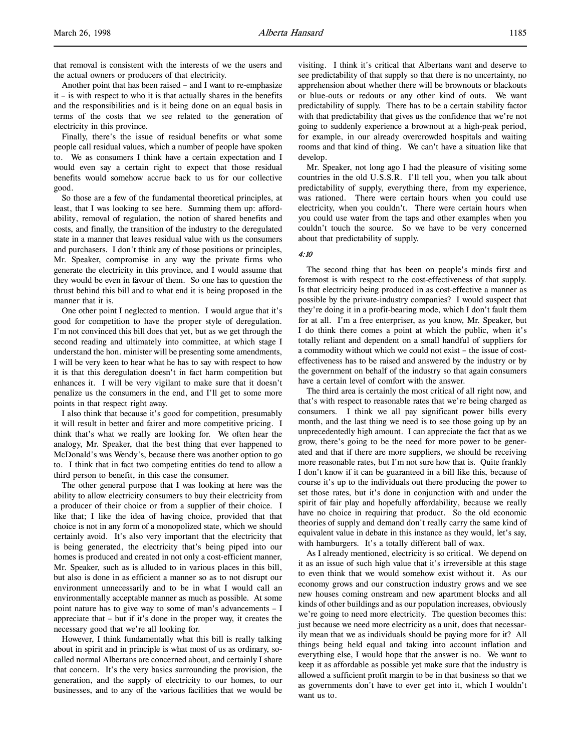that removal is consistent with the interests of we the users and the actual owners or producers of that electricity.

Another point that has been raised – and I want to re-emphasize it – is with respect to who it is that actually shares in the benefits and the responsibilities and is it being done on an equal basis in terms of the costs that we see related to the generation of electricity in this province.

Finally, there's the issue of residual benefits or what some people call residual values, which a number of people have spoken to. We as consumers I think have a certain expectation and I would even say a certain right to expect that those residual benefits would somehow accrue back to us for our collective good.

So those are a few of the fundamental theoretical principles, at least, that I was looking to see here. Summing them up: affordability, removal of regulation, the notion of shared benefits and costs, and finally, the transition of the industry to the deregulated state in a manner that leaves residual value with us the consumers and purchasers. I don't think any of those positions or principles, Mr. Speaker, compromise in any way the private firms who generate the electricity in this province, and I would assume that they would be even in favour of them. So one has to question the thrust behind this bill and to what end it is being proposed in the manner that it is.

One other point I neglected to mention. I would argue that it's good for competition to have the proper style of deregulation. I'm not convinced this bill does that yet, but as we get through the second reading and ultimately into committee, at which stage I understand the hon. minister will be presenting some amendments, I will be very keen to hear what he has to say with respect to how it is that this deregulation doesn't in fact harm competition but enhances it. I will be very vigilant to make sure that it doesn't penalize us the consumers in the end, and I'll get to some more points in that respect right away.

I also think that because it's good for competition, presumably it will result in better and fairer and more competitive pricing. I think that's what we really are looking for. We often hear the analogy, Mr. Speaker, that the best thing that ever happened to McDonald's was Wendy's, because there was another option to go to. I think that in fact two competing entities do tend to allow a third person to benefit, in this case the consumer.

The other general purpose that I was looking at here was the ability to allow electricity consumers to buy their electricity from a producer of their choice or from a supplier of their choice. I like that; I like the idea of having choice, provided that that choice is not in any form of a monopolized state, which we should certainly avoid. It's also very important that the electricity that is being generated, the electricity that's being piped into our homes is produced and created in not only a cost-efficient manner, Mr. Speaker, such as is alluded to in various places in this bill, but also is done in as efficient a manner so as to not disrupt our environment unnecessarily and to be in what I would call an environmentally acceptable manner as much as possible. At some point nature has to give way to some of man's advancements – I appreciate that – but if it's done in the proper way, it creates the necessary good that we're all looking for.

However, I think fundamentally what this bill is really talking about in spirit and in principle is what most of us as ordinary, socalled normal Albertans are concerned about, and certainly I share that concern. It's the very basics surrounding the provision, the generation, and the supply of electricity to our homes, to our businesses, and to any of the various facilities that we would be visiting. I think it's critical that Albertans want and deserve to see predictability of that supply so that there is no uncertainty, no apprehension about whether there will be brownouts or blackouts or blue-outs or redouts or any other kind of outs. We want predictability of supply. There has to be a certain stability factor with that predictability that gives us the confidence that we're not going to suddenly experience a brownout at a high-peak period, for example, in our already overcrowded hospitals and waiting rooms and that kind of thing. We can't have a situation like that develop.

Mr. Speaker, not long ago I had the pleasure of visiting some countries in the old U.S.S.R. I'll tell you, when you talk about predictability of supply, everything there, from my experience, was rationed. There were certain hours when you could use electricity, when you couldn't. There were certain hours when you could use water from the taps and other examples when you couldn't touch the source. So we have to be very concerned about that predictability of supply.

#### 4:10

The second thing that has been on people's minds first and foremost is with respect to the cost-effectiveness of that supply. Is that electricity being produced in as cost-effective a manner as possible by the private-industry companies? I would suspect that they're doing it in a profit-bearing mode, which I don't fault them for at all. I'm a free enterpriser, as you know, Mr. Speaker, but I do think there comes a point at which the public, when it's totally reliant and dependent on a small handful of suppliers for a commodity without which we could not exist – the issue of costeffectiveness has to be raised and answered by the industry or by the government on behalf of the industry so that again consumers have a certain level of comfort with the answer.

The third area is certainly the most critical of all right now, and that's with respect to reasonable rates that we're being charged as consumers. I think we all pay significant power bills every month, and the last thing we need is to see those going up by an unprecedentedly high amount. I can appreciate the fact that as we grow, there's going to be the need for more power to be generated and that if there are more suppliers, we should be receiving more reasonable rates, but I'm not sure how that is. Quite frankly I don't know if it can be guaranteed in a bill like this, because of course it's up to the individuals out there producing the power to set those rates, but it's done in conjunction with and under the spirit of fair play and hopefully affordability, because we really have no choice in requiring that product. So the old economic theories of supply and demand don't really carry the same kind of equivalent value in debate in this instance as they would, let's say, with hamburgers. It's a totally different ball of wax.

As I already mentioned, electricity is so critical. We depend on it as an issue of such high value that it's irreversible at this stage to even think that we would somehow exist without it. As our economy grows and our construction industry grows and we see new houses coming onstream and new apartment blocks and all kinds of other buildings and as our population increases, obviously we're going to need more electricity. The question becomes this: just because we need more electricity as a unit, does that necessarily mean that we as individuals should be paying more for it? All things being held equal and taking into account inflation and everything else, I would hope that the answer is no. We want to keep it as affordable as possible yet make sure that the industry is allowed a sufficient profit margin to be in that business so that we as governments don't have to ever get into it, which I wouldn't want us to.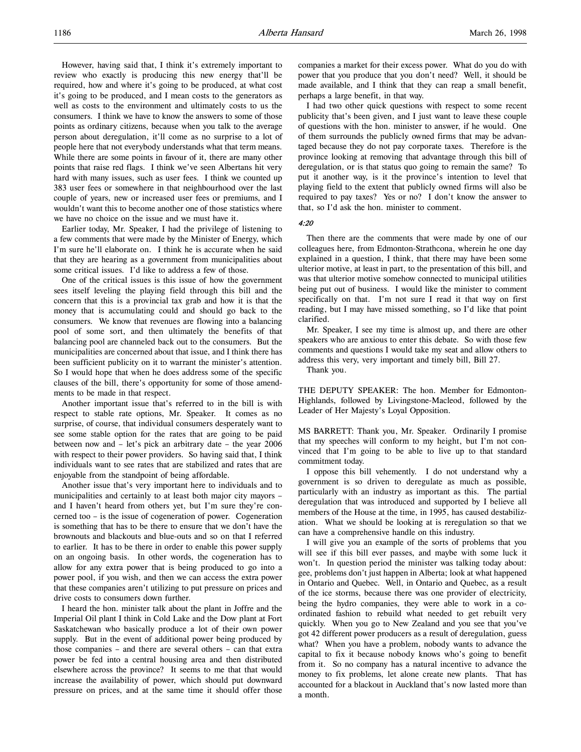However, having said that, I think it's extremely important to review who exactly is producing this new energy that'll be required, how and where it's going to be produced, at what cost it's going to be produced, and I mean costs to the generators as well as costs to the environment and ultimately costs to us the consumers. I think we have to know the answers to some of those points as ordinary citizens, because when you talk to the average person about deregulation, it'll come as no surprise to a lot of people here that not everybody understands what that term means. While there are some points in favour of it, there are many other points that raise red flags. I think we've seen Albertans hit very hard with many issues, such as user fees. I think we counted up 383 user fees or somewhere in that neighbourhood over the last couple of years, new or increased user fees or premiums, and I wouldn't want this to become another one of those statistics where we have no choice on the issue and we must have it.

Earlier today, Mr. Speaker, I had the privilege of listening to a few comments that were made by the Minister of Energy, which I'm sure he'll elaborate on. I think he is accurate when he said that they are hearing as a government from municipalities about some critical issues. I'd like to address a few of those.

One of the critical issues is this issue of how the government sees itself leveling the playing field through this bill and the concern that this is a provincial tax grab and how it is that the money that is accumulating could and should go back to the consumers. We know that revenues are flowing into a balancing pool of some sort, and then ultimately the benefits of that balancing pool are channeled back out to the consumers. But the municipalities are concerned about that issue, and I think there has been sufficient publicity on it to warrant the minister's attention. So I would hope that when he does address some of the specific clauses of the bill, there's opportunity for some of those amendments to be made in that respect.

Another important issue that's referred to in the bill is with respect to stable rate options, Mr. Speaker. It comes as no surprise, of course, that individual consumers desperately want to see some stable option for the rates that are going to be paid between now and – let's pick an arbitrary date – the year 2006 with respect to their power providers. So having said that, I think individuals want to see rates that are stabilized and rates that are enjoyable from the standpoint of being affordable.

Another issue that's very important here to individuals and to municipalities and certainly to at least both major city mayors – and I haven't heard from others yet, but I'm sure they're concerned too – is the issue of cogeneration of power. Cogeneration is something that has to be there to ensure that we don't have the brownouts and blackouts and blue-outs and so on that I referred to earlier. It has to be there in order to enable this power supply on an ongoing basis. In other words, the cogeneration has to allow for any extra power that is being produced to go into a power pool, if you wish, and then we can access the extra power that these companies aren't utilizing to put pressure on prices and drive costs to consumers down further.

I heard the hon. minister talk about the plant in Joffre and the Imperial Oil plant I think in Cold Lake and the Dow plant at Fort Saskatchewan who basically produce a lot of their own power supply. But in the event of additional power being produced by those companies – and there are several others – can that extra power be fed into a central housing area and then distributed elsewhere across the province? It seems to me that that would increase the availability of power, which should put downward pressure on prices, and at the same time it should offer those

companies a market for their excess power. What do you do with power that you produce that you don't need? Well, it should be made available, and I think that they can reap a small benefit, perhaps a large benefit, in that way.

I had two other quick questions with respect to some recent publicity that's been given, and I just want to leave these couple of questions with the hon. minister to answer, if he would. One of them surrounds the publicly owned firms that may be advantaged because they do not pay corporate taxes. Therefore is the province looking at removing that advantage through this bill of deregulation, or is that status quo going to remain the same? To put it another way, is it the province's intention to level that playing field to the extent that publicly owned firms will also be required to pay taxes? Yes or no? I don't know the answer to that, so I'd ask the hon. minister to comment.

4:20

Then there are the comments that were made by one of our colleagues here, from Edmonton-Strathcona, wherein he one day explained in a question, I think, that there may have been some ulterior motive, at least in part, to the presentation of this bill, and was that ulterior motive somehow connected to municipal utilities being put out of business. I would like the minister to comment specifically on that. I'm not sure I read it that way on first reading, but I may have missed something, so I'd like that point clarified.

Mr. Speaker, I see my time is almost up, and there are other speakers who are anxious to enter this debate. So with those few comments and questions I would take my seat and allow others to address this very, very important and timely bill, Bill 27.

Thank you.

THE DEPUTY SPEAKER: The hon. Member for Edmonton-Highlands, followed by Livingstone-Macleod, followed by the Leader of Her Majesty's Loyal Opposition.

MS BARRETT: Thank you, Mr. Speaker. Ordinarily I promise that my speeches will conform to my height, but I'm not convinced that I'm going to be able to live up to that standard commitment today.

I oppose this bill vehemently. I do not understand why a government is so driven to deregulate as much as possible, particularly with an industry as important as this. The partial deregulation that was introduced and supported by I believe all members of the House at the time, in 1995, has caused destabilization. What we should be looking at is reregulation so that we can have a comprehensive handle on this industry.

I will give you an example of the sorts of problems that you will see if this bill ever passes, and maybe with some luck it won't. In question period the minister was talking today about: gee, problems don't just happen in Alberta; look at what happened in Ontario and Quebec. Well, in Ontario and Quebec, as a result of the ice storms, because there was one provider of electricity, being the hydro companies, they were able to work in a coordinated fashion to rebuild what needed to get rebuilt very quickly. When you go to New Zealand and you see that you've got 42 different power producers as a result of deregulation, guess what? When you have a problem, nobody wants to advance the capital to fix it because nobody knows who's going to benefit from it. So no company has a natural incentive to advance the money to fix problems, let alone create new plants. That has accounted for a blackout in Auckland that's now lasted more than a month.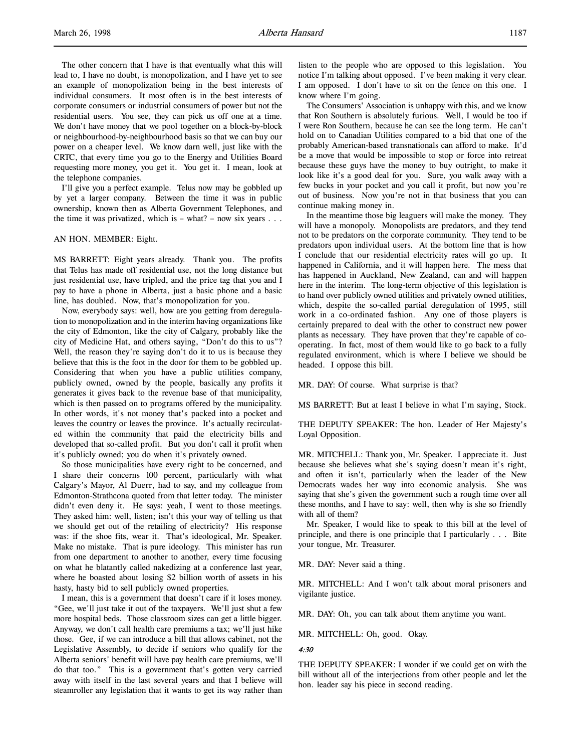The other concern that I have is that eventually what this will lead to, I have no doubt, is monopolization, and I have yet to see an example of monopolization being in the best interests of individual consumers. It most often is in the best interests of corporate consumers or industrial consumers of power but not the residential users. You see, they can pick us off one at a time. We don't have money that we pool together on a block-by-block or neighbourhood-by-neighbourhood basis so that we can buy our power on a cheaper level. We know darn well, just like with the CRTC, that every time you go to the Energy and Utilities Board requesting more money, you get it. You get it. I mean, look at the telephone companies.

I'll give you a perfect example. Telus now may be gobbled up by yet a larger company. Between the time it was in public ownership, known then as Alberta Government Telephones, and the time it was privatized, which is  $-$  what?  $-$  now six years  $\ldots$ 

#### AN HON. MEMBER: Eight.

MS BARRETT: Eight years already. Thank you. The profits that Telus has made off residential use, not the long distance but just residential use, have tripled, and the price tag that you and I pay to have a phone in Alberta, just a basic phone and a basic line, has doubled. Now, that's monopolization for you.

Now, everybody says: well, how are you getting from deregulation to monopolization and in the interim having organizations like the city of Edmonton, like the city of Calgary, probably like the city of Medicine Hat, and others saying, "Don't do this to us"? Well, the reason they're saying don't do it to us is because they believe that this is the foot in the door for them to be gobbled up. Considering that when you have a public utilities company, publicly owned, owned by the people, basically any profits it generates it gives back to the revenue base of that municipality, which is then passed on to programs offered by the municipality. In other words, it's not money that's packed into a pocket and leaves the country or leaves the province. It's actually recirculated within the community that paid the electricity bills and developed that so-called profit. But you don't call it profit when it's publicly owned; you do when it's privately owned.

So those municipalities have every right to be concerned, and I share their concerns 100 percent, particularly with what Calgary's Mayor, Al Duerr, had to say, and my colleague from Edmonton-Strathcona quoted from that letter today. The minister didn't even deny it. He says: yeah, I went to those meetings. They asked him: well, listen; isn't this your way of telling us that we should get out of the retailing of electricity? His response was: if the shoe fits, wear it. That's ideological, Mr. Speaker. Make no mistake. That is pure ideology. This minister has run from one department to another to another, every time focusing on what he blatantly called nakedizing at a conference last year, where he boasted about losing \$2 billion worth of assets in his hasty, hasty bid to sell publicly owned properties.

I mean, this is a government that doesn't care if it loses money. "Gee, we'll just take it out of the taxpayers. We'll just shut a few more hospital beds. Those classroom sizes can get a little bigger. Anyway, we don't call health care premiums a tax; we'll just hike those. Gee, if we can introduce a bill that allows cabinet, not the Legislative Assembly, to decide if seniors who qualify for the Alberta seniors' benefit will have pay health care premiums, we'll do that too." This is a government that's gotten very carried away with itself in the last several years and that I believe will steamroller any legislation that it wants to get its way rather than

listen to the people who are opposed to this legislation. You notice I'm talking about opposed. I've been making it very clear. I am opposed. I don't have to sit on the fence on this one. I know where I'm going.

The Consumers' Association is unhappy with this, and we know that Ron Southern is absolutely furious. Well, I would be too if I were Ron Southern, because he can see the long term. He can't hold on to Canadian Utilities compared to a bid that one of the probably American-based transnationals can afford to make. It'd be a move that would be impossible to stop or force into retreat because these guys have the money to buy outright, to make it look like it's a good deal for you. Sure, you walk away with a few bucks in your pocket and you call it profit, but now you're out of business. Now you're not in that business that you can continue making money in.

In the meantime those big leaguers will make the money. They will have a monopoly. Monopolists are predators, and they tend not to be predators on the corporate community. They tend to be predators upon individual users. At the bottom line that is how I conclude that our residential electricity rates will go up. It happened in California, and it will happen here. The mess that has happened in Auckland, New Zealand, can and will happen here in the interim. The long-term objective of this legislation is to hand over publicly owned utilities and privately owned utilities, which, despite the so-called partial deregulation of 1995, still work in a co-ordinated fashion. Any one of those players is certainly prepared to deal with the other to construct new power plants as necessary. They have proven that they're capable of cooperating. In fact, most of them would like to go back to a fully regulated environment, which is where I believe we should be headed. I oppose this bill.

MR. DAY: Of course. What surprise is that?

MS BARRETT: But at least I believe in what I'm saying, Stock.

THE DEPUTY SPEAKER: The hon. Leader of Her Majesty's Loyal Opposition.

MR. MITCHELL: Thank you, Mr. Speaker. I appreciate it. Just because she believes what she's saying doesn't mean it's right, and often it isn't, particularly when the leader of the New Democrats wades her way into economic analysis. She was saying that she's given the government such a rough time over all these months, and I have to say: well, then why is she so friendly with all of them?

Mr. Speaker, I would like to speak to this bill at the level of principle, and there is one principle that I particularly . . . Bite your tongue, Mr. Treasurer.

MR. DAY: Never said a thing.

MR. MITCHELL: And I won't talk about moral prisoners and vigilante justice.

MR. DAY: Oh, you can talk about them anytime you want.

MR. MITCHELL: Oh, good. Okay.

#### 4:30

THE DEPUTY SPEAKER: I wonder if we could get on with the bill without all of the interjections from other people and let the hon. leader say his piece in second reading.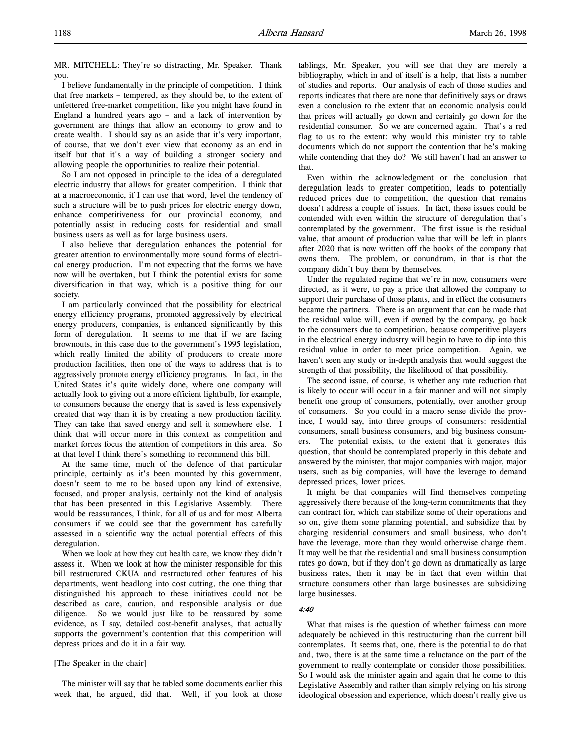MR. MITCHELL: They're so distracting, Mr. Speaker. Thank you.

I believe fundamentally in the principle of competition. I think that free markets – tempered, as they should be, to the extent of unfettered free-market competition, like you might have found in England a hundred years ago – and a lack of intervention by government are things that allow an economy to grow and to create wealth. I should say as an aside that it's very important, of course, that we don't ever view that economy as an end in itself but that it's a way of building a stronger society and allowing people the opportunities to realize their potential.

So I am not opposed in principle to the idea of a deregulated electric industry that allows for greater competition. I think that at a macroeconomic, if I can use that word, level the tendency of such a structure will be to push prices for electric energy down, enhance competitiveness for our provincial economy, and potentially assist in reducing costs for residential and small business users as well as for large business users.

I also believe that deregulation enhances the potential for greater attention to environmentally more sound forms of electrical energy production. I'm not expecting that the forms we have now will be overtaken, but I think the potential exists for some diversification in that way, which is a positive thing for our society.

I am particularly convinced that the possibility for electrical energy efficiency programs, promoted aggressively by electrical energy producers, companies, is enhanced significantly by this form of deregulation. It seems to me that if we are facing brownouts, in this case due to the government's 1995 legislation, which really limited the ability of producers to create more production facilities, then one of the ways to address that is to aggressively promote energy efficiency programs. In fact, in the United States it's quite widely done, where one company will actually look to giving out a more efficient lightbulb, for example, to consumers because the energy that is saved is less expensively created that way than it is by creating a new production facility. They can take that saved energy and sell it somewhere else. I think that will occur more in this context as competition and market forces focus the attention of competitors in this area. So at that level I think there's something to recommend this bill.

At the same time, much of the defence of that particular principle, certainly as it's been mounted by this government, doesn't seem to me to be based upon any kind of extensive, focused, and proper analysis, certainly not the kind of analysis that has been presented in this Legislative Assembly. There would be reassurances, I think, for all of us and for most Alberta consumers if we could see that the government has carefully assessed in a scientific way the actual potential effects of this deregulation.

When we look at how they cut health care, we know they didn't assess it. When we look at how the minister responsible for this bill restructured CKUA and restructured other features of his departments, went headlong into cost cutting, the one thing that distinguished his approach to these initiatives could not be described as care, caution, and responsible analysis or due diligence. So we would just like to be reassured by some evidence, as I say, detailed cost-benefit analyses, that actually supports the government's contention that this competition will depress prices and do it in a fair way.

## [The Speaker in the chair]

The minister will say that he tabled some documents earlier this week that, he argued, did that. Well, if you look at those

tablings, Mr. Speaker, you will see that they are merely a bibliography, which in and of itself is a help, that lists a number of studies and reports. Our analysis of each of those studies and reports indicates that there are none that definitively says or draws even a conclusion to the extent that an economic analysis could that prices will actually go down and certainly go down for the residential consumer. So we are concerned again. That's a red flag to us to the extent: why would this minister try to table documents which do not support the contention that he's making while contending that they do? We still haven't had an answer to that.

Even within the acknowledgment or the conclusion that deregulation leads to greater competition, leads to potentially reduced prices due to competition, the question that remains doesn't address a couple of issues. In fact, these issues could be contended with even within the structure of deregulation that's contemplated by the government. The first issue is the residual value, that amount of production value that will be left in plants after 2020 that is now written off the books of the company that owns them. The problem, or conundrum, in that is that the company didn't buy them by themselves.

Under the regulated regime that we're in now, consumers were directed, as it were, to pay a price that allowed the company to support their purchase of those plants, and in effect the consumers became the partners. There is an argument that can be made that the residual value will, even if owned by the company, go back to the consumers due to competition, because competitive players in the electrical energy industry will begin to have to dip into this residual value in order to meet price competition. Again, we haven't seen any study or in-depth analysis that would suggest the strength of that possibility, the likelihood of that possibility.

The second issue, of course, is whether any rate reduction that is likely to occur will occur in a fair manner and will not simply benefit one group of consumers, potentially, over another group of consumers. So you could in a macro sense divide the province, I would say, into three groups of consumers: residential consumers, small business consumers, and big business consumers. The potential exists, to the extent that it generates this question, that should be contemplated properly in this debate and answered by the minister, that major companies with major, major users, such as big companies, will have the leverage to demand depressed prices, lower prices.

It might be that companies will find themselves competing aggressively there because of the long-term commitments that they can contract for, which can stabilize some of their operations and so on, give them some planning potential, and subsidize that by charging residential consumers and small business, who don't have the leverage, more than they would otherwise charge them. It may well be that the residential and small business consumption rates go down, but if they don't go down as dramatically as large business rates, then it may be in fact that even within that structure consumers other than large businesses are subsidizing large businesses.

# 4:40

What that raises is the question of whether fairness can more adequately be achieved in this restructuring than the current bill contemplates. It seems that, one, there is the potential to do that and, two, there is at the same time a reluctance on the part of the government to really contemplate or consider those possibilities. So I would ask the minister again and again that he come to this Legislative Assembly and rather than simply relying on his strong ideological obsession and experience, which doesn't really give us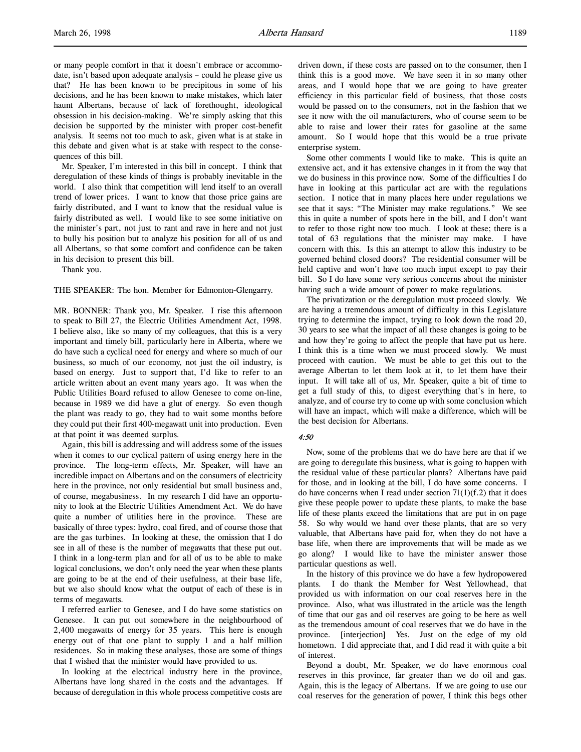or many people comfort in that it doesn't embrace or accommodate, isn't based upon adequate analysis – could he please give us that? He has been known to be precipitous in some of his decisions, and he has been known to make mistakes, which later haunt Albertans, because of lack of forethought, ideological obsession in his decision-making. We're simply asking that this decision be supported by the minister with proper cost-benefit analysis. It seems not too much to ask, given what is at stake in this debate and given what is at stake with respect to the consequences of this bill.

Mr. Speaker, I'm interested in this bill in concept. I think that deregulation of these kinds of things is probably inevitable in the world. I also think that competition will lend itself to an overall trend of lower prices. I want to know that those price gains are fairly distributed, and I want to know that the residual value is fairly distributed as well. I would like to see some initiative on the minister's part, not just to rant and rave in here and not just to bully his position but to analyze his position for all of us and all Albertans, so that some comfort and confidence can be taken in his decision to present this bill.

Thank you.

THE SPEAKER: The hon. Member for Edmonton-Glengarry.

MR. BONNER: Thank you, Mr. Speaker. I rise this afternoon to speak to Bill 27, the Electric Utilities Amendment Act, 1998. I believe also, like so many of my colleagues, that this is a very important and timely bill, particularly here in Alberta, where we do have such a cyclical need for energy and where so much of our business, so much of our economy, not just the oil industry, is based on energy. Just to support that, I'd like to refer to an article written about an event many years ago. It was when the Public Utilities Board refused to allow Genesee to come on-line, because in 1989 we did have a glut of energy. So even though the plant was ready to go, they had to wait some months before they could put their first 400-megawatt unit into production. Even at that point it was deemed surplus.

Again, this bill is addressing and will address some of the issues when it comes to our cyclical pattern of using energy here in the province. The long-term effects, Mr. Speaker, will have an incredible impact on Albertans and on the consumers of electricity here in the province, not only residential but small business and, of course, megabusiness. In my research I did have an opportunity to look at the Electric Utilities Amendment Act. We do have quite a number of utilities here in the province. These are basically of three types: hydro, coal fired, and of course those that are the gas turbines. In looking at these, the omission that I do see in all of these is the number of megawatts that these put out. I think in a long-term plan and for all of us to be able to make logical conclusions, we don't only need the year when these plants are going to be at the end of their usefulness, at their base life, but we also should know what the output of each of these is in terms of megawatts.

I referred earlier to Genesee, and I do have some statistics on Genesee. It can put out somewhere in the neighbourhood of 2,400 megawatts of energy for 35 years. This here is enough energy out of that one plant to supply 1 and a half million residences. So in making these analyses, those are some of things that I wished that the minister would have provided to us.

In looking at the electrical industry here in the province, Albertans have long shared in the costs and the advantages. If because of deregulation in this whole process competitive costs are

driven down, if these costs are passed on to the consumer, then I think this is a good move. We have seen it in so many other areas, and I would hope that we are going to have greater efficiency in this particular field of business, that those costs would be passed on to the consumers, not in the fashion that we see it now with the oil manufacturers, who of course seem to be able to raise and lower their rates for gasoline at the same amount. So I would hope that this would be a true private enterprise system.

Some other comments I would like to make. This is quite an extensive act, and it has extensive changes in it from the way that we do business in this province now. Some of the difficulties I do have in looking at this particular act are with the regulations section. I notice that in many places here under regulations we see that it says: "The Minister may make regulations." We see this in quite a number of spots here in the bill, and I don't want to refer to those right now too much. I look at these; there is a total of 63 regulations that the minister may make. I have concern with this. Is this an attempt to allow this industry to be governed behind closed doors? The residential consumer will be held captive and won't have too much input except to pay their bill. So I do have some very serious concerns about the minister having such a wide amount of power to make regulations.

The privatization or the deregulation must proceed slowly. We are having a tremendous amount of difficulty in this Legislature trying to determine the impact, trying to look down the road 20, 30 years to see what the impact of all these changes is going to be and how they're going to affect the people that have put us here. I think this is a time when we must proceed slowly. We must proceed with caution. We must be able to get this out to the average Albertan to let them look at it, to let them have their input. It will take all of us, Mr. Speaker, quite a bit of time to get a full study of this, to digest everything that's in here, to analyze, and of course try to come up with some conclusion which will have an impact, which will make a difference, which will be the best decision for Albertans.

#### $4.50$

Now, some of the problems that we do have here are that if we are going to deregulate this business, what is going to happen with the residual value of these particular plants? Albertans have paid for those, and in looking at the bill, I do have some concerns. I do have concerns when I read under section  $71(1)(f.2)$  that it does give these people power to update these plants, to make the base life of these plants exceed the limitations that are put in on page 58. So why would we hand over these plants, that are so very valuable, that Albertans have paid for, when they do not have a base life, when there are improvements that will be made as we go along? I would like to have the minister answer those particular questions as well.

In the history of this province we do have a few hydropowered plants. I do thank the Member for West Yellowhead, that provided us with information on our coal reserves here in the province. Also, what was illustrated in the article was the length of time that our gas and oil reserves are going to be here as well as the tremendous amount of coal reserves that we do have in the province. [interjection] Yes. Just on the edge of my old hometown. I did appreciate that, and I did read it with quite a bit of interest.

Beyond a doubt, Mr. Speaker, we do have enormous coal reserves in this province, far greater than we do oil and gas. Again, this is the legacy of Albertans. If we are going to use our coal reserves for the generation of power, I think this begs other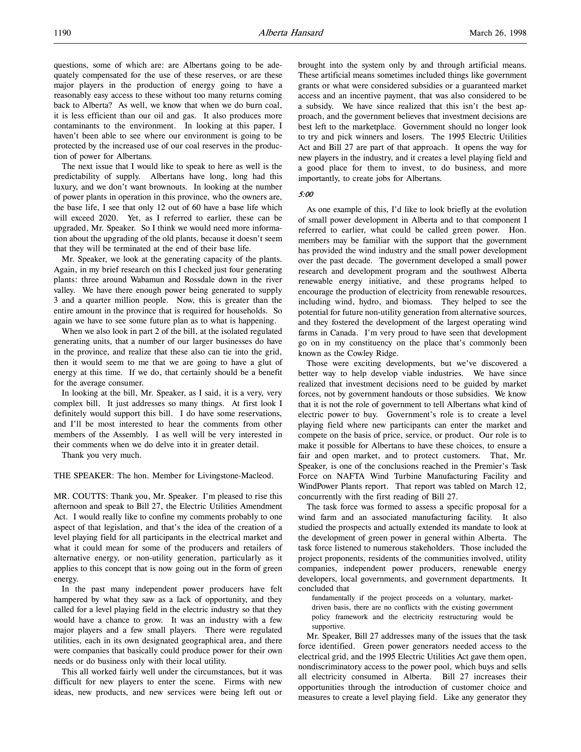questions, some of which are: are Albertans going to be adequately compensated for the use of these reserves, or are these major players in the production of energy going to have a reasonably easy access to these without too many returns coming back to Alberta? As well, we know that when we do burn coal, it is less efficient than our oil and gas. It also produces more contaminants to the environment. In looking at this paper, I haven't been able to see where our environment is going to be protected by the increased use of our coal reserves in the production of power for Albertans.

The next issue that I would like to speak to here as well is the predictability of supply. Albertans have long, long had this luxury, and we don't want brownouts. In looking at the number of power plants in operation in this province, who the owners are, the base life, I see that only 12 out of 60 have a base life which will exceed 2020. Yet, as I referred to earlier, these can be upgraded, Mr. Speaker. So I think we would need more information about the upgrading of the old plants, because it doesn't seem that they will be terminated at the end of their base life.

Mr. Speaker, we look at the generating capacity of the plants. Again, in my brief research on this I checked just four generating plants: three around Wabamun and Rossdale down in the river valley. We have there enough power being generated to supply 3 and a quarter million people. Now, this is greater than the entire amount in the province that is required for households. So again we have to see some future plan as to what is happening.

When we also look in part 2 of the bill, at the isolated regulated generating units, that a number of our larger businesses do have in the province, and realize that these also can tie into the grid, then it would seem to me that we are going to have a glut of energy at this time. If we do, that certainly should be a benefit for the average consumer.

In looking at the bill, Mr. Speaker, as I said, it is a very, very complex bill. It just addresses so many things. At first look I definitely would support this bill. I do have some reservations, and I'll be most interested to hear the comments from other members of the Assembly. I as well will be very interested in their comments when we do delve into it in greater detail.

Thank you very much.

THE SPEAKER: The hon. Member for Livingstone-Macleod.

MR. COUTTS: Thank you, Mr. Speaker. I'm pleased to rise this afternoon and speak to Bill 27, the Electric Utilities Amendment Act. I would really like to confine my comments probably to one aspect of that legislation, and that's the idea of the creation of a level playing field for all participants in the electrical market and what it could mean for some of the producers and retailers of alternative energy, or non-utility generation, particularly as it applies to this concept that is now going out in the form of green energy.

In the past many independent power producers have felt hampered by what they saw as a lack of opportunity, and they called for a level playing field in the electric industry so that they would have a chance to grow. It was an industry with a few major players and a few small players. There were regulated utilities, each in its own designated geographical area, and there were companies that basically could produce power for their own needs or do business only with their local utility.

This all worked fairly well under the circumstances, but it was difficult for new players to enter the scene. Firms with new ideas, new products, and new services were being left out or

brought into the system only by and through artificial means. These artificial means sometimes included things like government grants or what were considered subsidies or a guaranteed market access and an incentive payment, that was also considered to be a subsidy. We have since realized that this isn't the best approach, and the government believes that investment decisions are best left to the marketplace. Government should no longer look to try and pick winners and losers. The 1995 Electric Utilities Act and Bill 27 are part of that approach. It opens the way for new players in the industry, and it creates a level playing field and a good place for them to invest, to do business, and more importantly, to create jobs for Albertans.

5:00

As one example of this, I'd like to look briefly at the evolution of small power development in Alberta and to that component I referred to earlier, what could be called green power. Hon. members may be familiar with the support that the government has provided the wind industry and the small power development over the past decade. The government developed a small power research and development program and the southwest Alberta renewable energy initiative, and these programs helped to encourage the production of electricity from renewable resources, including wind, hydro, and biomass. They helped to see the potential for future non-utility generation from alternative sources, and they fostered the development of the largest operating wind farms in Canada. I'm very proud to have seen that development go on in my constituency on the place that's commonly been known as the Cowley Ridge.

Those were exciting developments, but we've discovered a better way to help develop viable industries. We have since realized that investment decisions need to be guided by market forces, not by government handouts or those subsidies. We know that it is not the role of government to tell Albertans what kind of electric power to buy. Government's role is to create a level playing field where new participants can enter the market and compete on the basis of price, service, or product. Our role is to make it possible for Albertans to have these choices, to ensure a fair and open market, and to protect customers. That, Mr. Speaker, is one of the conclusions reached in the Premier's Task Force on NAFTA Wind Turbine Manufacturing Facility and WindPower Plants report. That report was tabled on March 12, concurrently with the first reading of Bill 27.

The task force was formed to assess a specific proposal for a wind farm and an associated manufacturing facility. It also studied the prospects and actually extended its mandate to look at the development of green power in general within Alberta. The task force listened to numerous stakeholders. Those included the project proponents, residents of the communities involved, utility companies, independent power producers, renewable energy developers, local governments, and government departments. It concluded that

fundamentally if the project proceeds on a voluntary, marketdriven basis, there are no conflicts with the existing government policy framework and the electricity restructuring would be supportive.

Mr. Speaker, Bill 27 addresses many of the issues that the task force identified. Green power generators needed access to the electrical grid, and the 1995 Electric Utilities Act gave them open, nondiscriminatory access to the power pool, which buys and sells all electricity consumed in Alberta. Bill 27 increases their opportunities through the introduction of customer choice and measures to create a level playing field. Like any generator they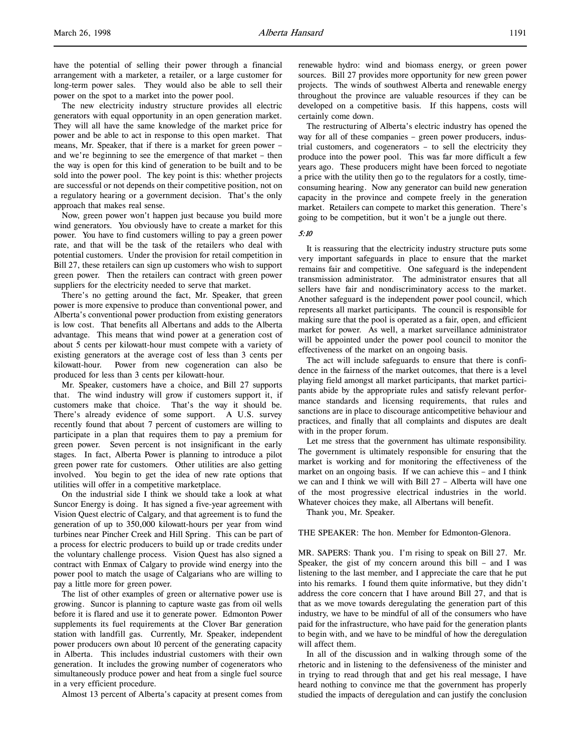have the potential of selling their power through a financial arrangement with a marketer, a retailer, or a large customer for long-term power sales. They would also be able to sell their power on the spot to a market into the power pool.

The new electricity industry structure provides all electric generators with equal opportunity in an open generation market. They will all have the same knowledge of the market price for power and be able to act in response to this open market. That means, Mr. Speaker, that if there is a market for green power – and we're beginning to see the emergence of that market – then the way is open for this kind of generation to be built and to be sold into the power pool. The key point is this: whether projects are successful or not depends on their competitive position, not on a regulatory hearing or a government decision. That's the only approach that makes real sense.

Now, green power won't happen just because you build more wind generators. You obviously have to create a market for this power. You have to find customers willing to pay a green power rate, and that will be the task of the retailers who deal with potential customers. Under the provision for retail competition in Bill 27, these retailers can sign up customers who wish to support green power. Then the retailers can contract with green power suppliers for the electricity needed to serve that market.

There's no getting around the fact, Mr. Speaker, that green power is more expensive to produce than conventional power, and Alberta's conventional power production from existing generators is low cost. That benefits all Albertans and adds to the Alberta advantage. This means that wind power at a generation cost of about 5 cents per kilowatt-hour must compete with a variety of existing generators at the average cost of less than 3 cents per kilowatt-hour. Power from new cogeneration can also be produced for less than 3 cents per kilowatt-hour.

Mr. Speaker, customers have a choice, and Bill 27 supports that. The wind industry will grow if customers support it, if customers make that choice. That's the way it should be. There's already evidence of some support. A U.S. survey recently found that about 7 percent of customers are willing to participate in a plan that requires them to pay a premium for green power. Seven percent is not insignificant in the early stages. In fact, Alberta Power is planning to introduce a pilot green power rate for customers. Other utilities are also getting involved. You begin to get the idea of new rate options that utilities will offer in a competitive marketplace.

On the industrial side I think we should take a look at what Suncor Energy is doing. It has signed a five-year agreement with Vision Quest electric of Calgary, and that agreement is to fund the generation of up to 350,000 kilowatt-hours per year from wind turbines near Pincher Creek and Hill Spring. This can be part of a process for electric producers to build up or trade credits under the voluntary challenge process. Vision Quest has also signed a contract with Enmax of Calgary to provide wind energy into the power pool to match the usage of Calgarians who are willing to pay a little more for green power.

The list of other examples of green or alternative power use is growing. Suncor is planning to capture waste gas from oil wells before it is flared and use it to generate power. Edmonton Power supplements its fuel requirements at the Clover Bar generation station with landfill gas. Currently, Mr. Speaker, independent power producers own about 10 percent of the generating capacity in Alberta. This includes industrial customers with their own generation. It includes the growing number of cogenerators who simultaneously produce power and heat from a single fuel source in a very efficient procedure.

Almost 13 percent of Alberta's capacity at present comes from

renewable hydro: wind and biomass energy, or green power sources. Bill 27 provides more opportunity for new green power projects. The winds of southwest Alberta and renewable energy throughout the province are valuable resources if they can be developed on a competitive basis. If this happens, costs will certainly come down.

The restructuring of Alberta's electric industry has opened the way for all of these companies – green power producers, industrial customers, and cogenerators – to sell the electricity they produce into the power pool. This was far more difficult a few years ago. These producers might have been forced to negotiate a price with the utility then go to the regulators for a costly, timeconsuming hearing. Now any generator can build new generation capacity in the province and compete freely in the generation market. Retailers can compete to market this generation. There's going to be competition, but it won't be a jungle out there.

### 5:10

It is reassuring that the electricity industry structure puts some very important safeguards in place to ensure that the market remains fair and competitive. One safeguard is the independent transmission administrator. The administrator ensures that all sellers have fair and nondiscriminatory access to the market. Another safeguard is the independent power pool council, which represents all market participants. The council is responsible for making sure that the pool is operated as a fair, open, and efficient market for power. As well, a market surveillance administrator will be appointed under the power pool council to monitor the effectiveness of the market on an ongoing basis.

The act will include safeguards to ensure that there is confidence in the fairness of the market outcomes, that there is a level playing field amongst all market participants, that market participants abide by the appropriate rules and satisfy relevant performance standards and licensing requirements, that rules and sanctions are in place to discourage anticompetitive behaviour and practices, and finally that all complaints and disputes are dealt with in the proper forum.

Let me stress that the government has ultimate responsibility. The government is ultimately responsible for ensuring that the market is working and for monitoring the effectiveness of the market on an ongoing basis. If we can achieve this – and I think we can and I think we will with Bill 27 – Alberta will have one of the most progressive electrical industries in the world. Whatever choices they make, all Albertans will benefit.

Thank you, Mr. Speaker.

#### THE SPEAKER: The hon. Member for Edmonton-Glenora.

MR. SAPERS: Thank you. I'm rising to speak on Bill 27. Mr. Speaker, the gist of my concern around this bill – and I was listening to the last member, and I appreciate the care that he put into his remarks. I found them quite informative, but they didn't address the core concern that I have around Bill 27, and that is that as we move towards deregulating the generation part of this industry, we have to be mindful of all of the consumers who have paid for the infrastructure, who have paid for the generation plants to begin with, and we have to be mindful of how the deregulation will affect them.

In all of the discussion and in walking through some of the rhetoric and in listening to the defensiveness of the minister and in trying to read through that and get his real message, I have heard nothing to convince me that the government has properly studied the impacts of deregulation and can justify the conclusion